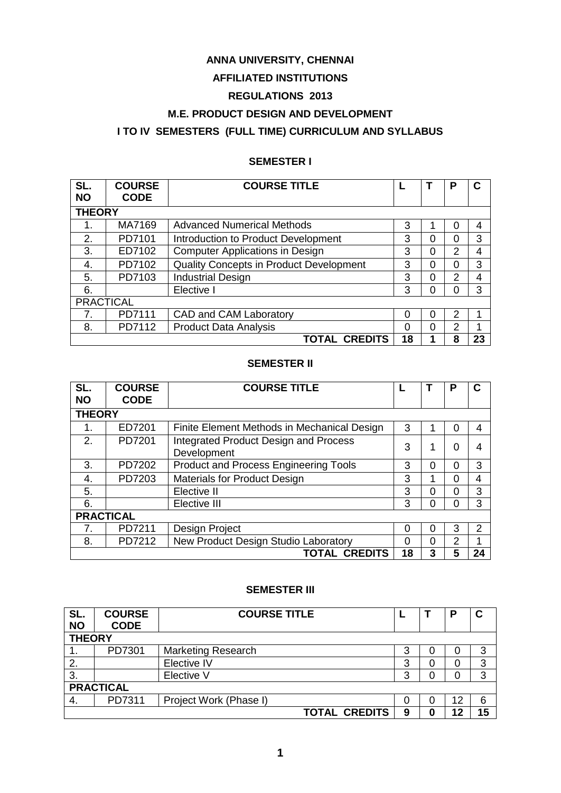### **ANNA UNIVERSITY, CHENNAI**

## **AFFILIATED INSTITUTIONS**

# **REGULATIONS 2013**

### **M.E. PRODUCT DESIGN AND DEVELOPMENT**

# **I TO IV SEMESTERS (FULL TIME) CURRICULUM AND SYLLABUS**

# **SEMESTER I**

| SL.<br><b>NO</b> | <b>COURSE</b><br><b>CODE</b> | <b>COURSE TITLE</b>                     |    |   | P              | С  |  |  |
|------------------|------------------------------|-----------------------------------------|----|---|----------------|----|--|--|
|                  | <b>THEORY</b>                |                                         |    |   |                |    |  |  |
| 1.               | MA7169                       | <b>Advanced Numerical Methods</b>       | 3  |   | 0              | 4  |  |  |
| 2.               | PD7101                       | Introduction to Product Development     | 3  | 0 | 0              | 3  |  |  |
| 3.               | ED7102                       | <b>Computer Applications in Design</b>  | 3  | 0 | $\overline{2}$ | 4  |  |  |
| 4.               | PD7102                       | Quality Concepts in Product Development | 3  | 0 | 0              | 3  |  |  |
| 5.               | PD7103                       | <b>Industrial Design</b>                | 3  | 0 | 2              | 4  |  |  |
| 6.               |                              | Elective I                              | 3  | 0 | 0              | 3  |  |  |
| <b>PRACTICAL</b> |                              |                                         |    |   |                |    |  |  |
| 7.               | PD7111                       | CAD and CAM Laboratory                  | 0  | 0 | 2              | 1  |  |  |
| 8.               | PD7112                       | <b>Product Data Analysis</b>            | 0  | 0 | 2              | ◢  |  |  |
|                  |                              | <b>TOTAL CREDITS</b>                    | 18 | 1 | 8              | 23 |  |  |

#### **SEMESTER II**

| SL.<br><b>NO</b> | <b>COURSE</b><br><b>CODE</b> | <b>COURSE TITLE</b>                                         |    |          | Р |    |  |  |
|------------------|------------------------------|-------------------------------------------------------------|----|----------|---|----|--|--|
|                  | <b>THEORY</b>                |                                                             |    |          |   |    |  |  |
| 1.               | ED7201                       | Finite Element Methods in Mechanical Design                 | 3  |          | 0 |    |  |  |
| 2.               | PD7201                       | <b>Integrated Product Design and Process</b><br>Development | 3  |          | 0 | 4  |  |  |
| 3.               | PD7202                       | <b>Product and Process Engineering Tools</b>                | 3  | 0        | 0 | 3  |  |  |
| 4.               | PD7203                       | <b>Materials for Product Design</b>                         | 3  |          | 0 | 4  |  |  |
| 5.               |                              | Elective II                                                 | 3  | 0        | 0 | 3  |  |  |
| 6.               |                              | Elective III                                                | 3  | $\Omega$ | 0 | 3  |  |  |
|                  | <b>PRACTICAL</b>             |                                                             |    |          |   |    |  |  |
| 7.               | PD7211                       | Design Project                                              | 0  | 0        | 3 | 2  |  |  |
| 8.               | PD7212                       | New Product Design Studio Laboratory                        | 0  | 0        | 2 |    |  |  |
|                  |                              | <b>TOTAL CREDITS</b>                                        | 18 | 3        | 5 | 24 |  |  |

### **SEMESTER III**

| SL.<br><b>NO</b> | <b>COURSE</b><br><b>CODE</b> | <b>COURSE TITLE</b>       |   |    | D  | С  |  |
|------------------|------------------------------|---------------------------|---|----|----|----|--|
| <b>THEORY</b>    |                              |                           |   |    |    |    |  |
|                  | PD7301                       | <b>Marketing Research</b> | 3 | Ω  | 0  | 3  |  |
| 2.               |                              | Elective IV               | 3 | 0  |    | 3  |  |
| 3.               |                              | Elective V                | ว | 0  |    | 3  |  |
| <b>PRACTICAL</b> |                              |                           |   |    |    |    |  |
| -4.              | PD7311                       | Project Work (Phase I)    |   | O) | 12 | 6  |  |
|                  |                              | <b>TOTAL CREDITS</b>      | 9 | Ω  | 12 | 15 |  |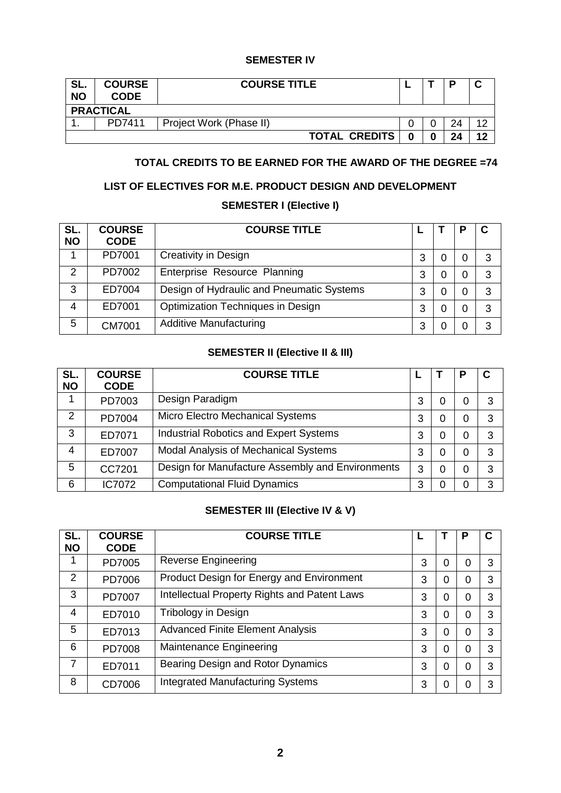#### **SEMESTER IV**

| SL.<br><b>NO</b> | <b>COURSE</b><br><b>CODE</b> | <b>COURSE TITLE</b>     |  |  | D  |    |  |  |  |
|------------------|------------------------------|-------------------------|--|--|----|----|--|--|--|
|                  | <b>PRACTICAL</b>             |                         |  |  |    |    |  |  |  |
|                  | PD7411                       | Project Work (Phase II) |  |  | 24 | ィク |  |  |  |
|                  |                              | <b>TOTAL CREDITS</b>    |  |  | 24 | 12 |  |  |  |

# **TOTAL CREDITS TO BE EARNED FOR THE AWARD OF THE DEGREE =74**

## **LIST OF ELECTIVES FOR M.E. PRODUCT DESIGN AND DEVELOPMENT**

# **SEMESTER I (Elective I)**

| SL.<br><b>NO</b> | <b>COURSE</b><br><b>CODE</b> | <b>COURSE TITLE</b>                       |   |   |   |
|------------------|------------------------------|-------------------------------------------|---|---|---|
| 1                | PD7001                       | Creativity in Design                      | 3 |   | 3 |
| 2                | PD7002                       | Enterprise Resource Planning              | 3 | 0 | 3 |
| 3                | ED7004                       | Design of Hydraulic and Pneumatic Systems | 3 | 0 | 3 |
| 4                | ED7001                       | Optimization Techniques in Design         | 3 |   | 3 |
| 5                | <b>CM7001</b>                | <b>Additive Manufacturing</b>             | 3 |   | 3 |

# **SEMESTER II (Elective II & III)**

| SL.<br><b>NO</b> | <b>COURSE</b><br><b>CODE</b> | <b>COURSE TITLE</b>                              |   |   |   |   |
|------------------|------------------------------|--------------------------------------------------|---|---|---|---|
|                  | PD7003                       | Design Paradigm                                  | 3 | 0 | 0 | 3 |
| 2                | PD7004                       | Micro Electro Mechanical Systems                 | 3 | 0 | 0 | 3 |
| 3                | ED7071                       | <b>Industrial Robotics and Expert Systems</b>    | 3 | 0 | 0 | 3 |
| 4                | ED7007                       | <b>Modal Analysis of Mechanical Systems</b>      | 3 | 0 | 0 | 3 |
| 5                | CC7201                       | Design for Manufacture Assembly and Environments | 3 | 0 | 0 | 3 |
| 6                | IC7072                       | <b>Computational Fluid Dynamics</b>              | 3 | 0 | 0 | 3 |

# **SEMESTER III (Elective IV & V)**

| SL.<br><b>NO</b> | <b>COURSE</b><br><b>CODE</b> | <b>COURSE TITLE</b>                          |   |   | Р        | C |
|------------------|------------------------------|----------------------------------------------|---|---|----------|---|
| 1                | PD7005                       | <b>Reverse Engineering</b>                   | 3 | 0 | 0        | 3 |
| 2                | PD7006                       | Product Design for Energy and Environment    | 3 | 0 | 0        | 3 |
| 3                | PD7007                       | Intellectual Property Rights and Patent Laws | 3 | 0 | 0        | 3 |
| 4                | ED7010                       | Tribology in Design                          | 3 | 0 | 0        | 3 |
| 5                | ED7013                       | <b>Advanced Finite Element Analysis</b>      | 3 | 0 | $\Omega$ | 3 |
| 6                | PD7008                       | Maintenance Engineering                      | 3 | 0 | 0        | 3 |
| 7                | ED7011                       | Bearing Design and Rotor Dynamics            | 3 | 0 | 0        | 3 |
| 8                | CD7006                       | <b>Integrated Manufacturing Systems</b>      | 3 | 0 | O        | 3 |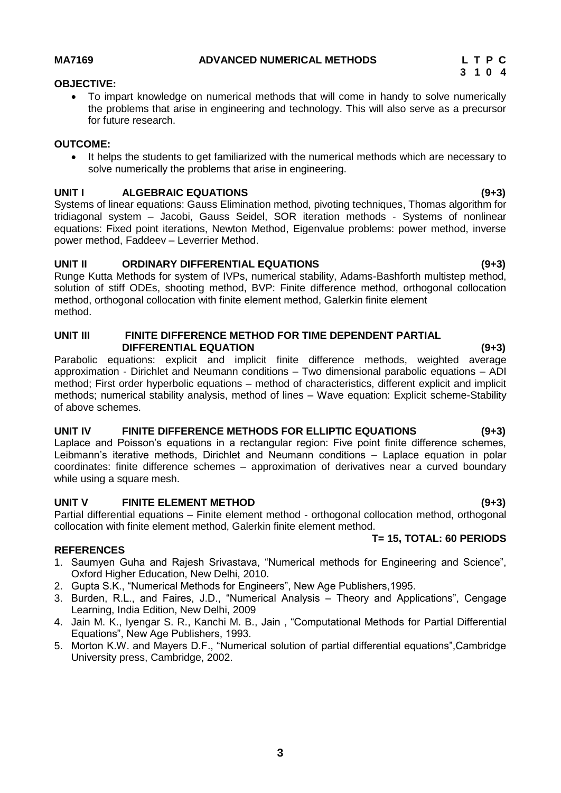### **MA7169 ADVANCED NUMERICAL METHODS L T P C**

### **OBJECTIVE:**

<span id="page-2-0"></span> To impart knowledge on numerical methods that will come in handy to solve numerically the problems that arise in engineering and technology. This will also serve as a precursor for future research.

### **OUTCOME:**

 It helps the students to get familiarized with the numerical methods which are necessary to solve numerically the problems that arise in engineering.

### **UNIT I ALGEBRAIC EQUATIONS (9+3)**

Systems of linear equations: Gauss Elimination method, pivoting techniques, Thomas algorithm for tridiagonal system – Jacobi, Gauss Seidel, SOR iteration methods - Systems of nonlinear equations: Fixed point iterations, Newton Method, Eigenvalue problems: power method, inverse power method, Faddeev – Leverrier Method.

#### **UNIT II ORDINARY DIFFERENTIAL EQUATIONS (9+3)**

Runge Kutta Methods for system of IVPs, numerical stability, Adams-Bashforth multistep method, solution of stiff ODEs, shooting method, BVP: Finite difference method, orthogonal collocation method, orthogonal collocation with finite element method, Galerkin finite element method.

#### **UNIT III FINITE DIFFERENCE METHOD FOR TIME DEPENDENT PARTIAL DIFFERENTIAL EQUATION (9+3)**

Parabolic equations: explicit and implicit finite difference methods, weighted average approximation - Dirichlet and Neumann conditions – Two dimensional parabolic equations – ADI method; First order hyperbolic equations – method of characteristics, different explicit and implicit methods; numerical stability analysis, method of lines – Wave equation: Explicit scheme-Stability of above schemes.

#### **UNIT IV FINITE DIFFERENCE METHODS FOR ELLIPTIC EQUATIONS (9+3)**

Laplace and Poisson's equations in a rectangular region: Five point finite difference schemes, Leibmann"s iterative methods, Dirichlet and Neumann conditions – Laplace equation in polar coordinates: finite difference schemes – approximation of derivatives near a curved boundary while using a square mesh.

#### **UNIT V FINITE ELEMENT METHOD (9+3)**

Partial differential equations – Finite element method - orthogonal collocation method, orthogonal collocation with finite element method, Galerkin finite element method.

#### **REFERENCES**

- 1. Saumyen Guha and Rajesh Srivastava, "Numerical methods for Engineering and Science", Oxford Higher Education, New Delhi, 2010.
- 2. Gupta S.K., "Numerical Methods for Engineers", New Age Publishers,1995.
- 3. Burden, R.L., and Faires, J.D., "Numerical Analysis Theory and Applications", Cengage Learning, India Edition, New Delhi, 2009
- 4. Jain M. K., Iyengar S. R., Kanchi M. B., Jain , "Computational Methods for Partial Differential Equations", New Age Publishers, 1993.
- 5. Morton K.W. and Mayers D.F., "Numerical solution of partial differential equations",Cambridge University press, Cambridge, 2002.

**T= 15, TOTAL: 60 PERIODS**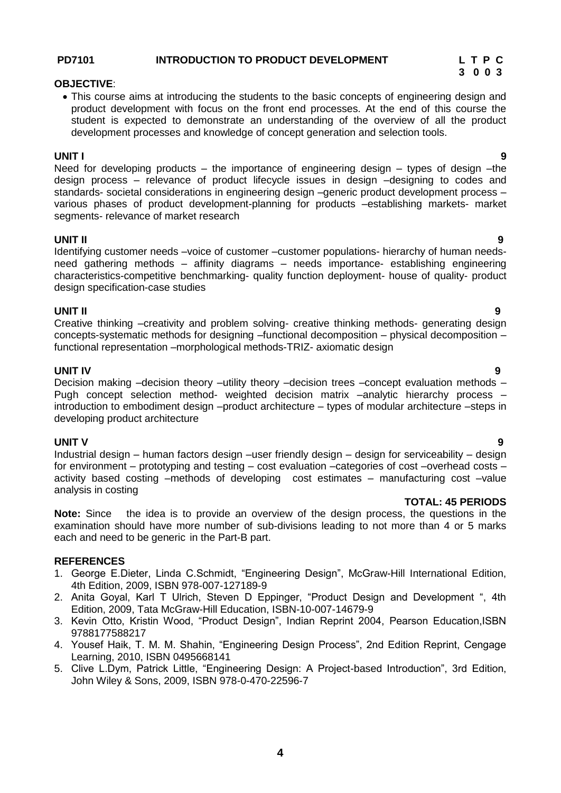#### **4**

#### **PD7101 INTRODUCTION TO PRODUCT DEVELOPMENT L T P C**

#### **OBJECTIVE**:

• This course aims at introducing the students to the basic concepts of engineering design and product development with focus on the front end processes. At the end of this course the student is expected to demonstrate an understanding of the overview of all the product development processes and knowledge of concept generation and selection tools.

#### **UNIT I 9**

Need for developing products – the importance of engineering design – types of design – the design process – relevance of product lifecycle issues in design –designing to codes and standards- societal considerations in engineering design –generic product development process – various phases of product development-planning for products –establishing markets- market segments- relevance of market research

#### **UNIT II 9**

Identifying customer needs –voice of customer –customer populations- hierarchy of human needsneed gathering methods – affinity diagrams – needs importance- establishing engineering characteristics-competitive benchmarking- quality function deployment- house of quality- product design specification-case studies

#### **UNIT II 9**

Creative thinking –creativity and problem solving- creative thinking methods- generating design concepts-systematic methods for designing –functional decomposition – physical decomposition – functional representation –morphological methods-TRIZ- axiomatic design

#### **UNIT IV 9**

Decision making –decision theory –utility theory –decision trees –concept evaluation methods – Pugh concept selection method- weighted decision matrix –analytic hierarchy process – introduction to embodiment design –product architecture – types of modular architecture –steps in developing product architecture

#### **UNIT V 9**

Industrial design – human factors design –user friendly design – design for serviceability – design for environment – prototyping and testing – cost evaluation –categories of cost –overhead costs – activity based costing –methods of developing cost estimates – manufacturing cost –value analysis in costing

# **TOTAL: 45 PERIODS**

**Note:** Since the idea is to provide an overview of the design process, the questions in the examination should have more number of sub-divisions leading to not more than 4 or 5 marks each and need to be generic in the Part-B part.

#### **REFERENCES**

- 1. George E.Dieter, Linda C.Schmidt, "Engineering Design", McGraw-Hill International Edition, 4th Edition, 2009, ISBN 978-007-127189-9
- 2. Anita Goyal, Karl T Ulrich, Steven D Eppinger, "Product Design and Development ", 4th Edition, 2009, Tata McGraw-Hill Education, ISBN-10-007-14679-9
- 3. Kevin Otto, Kristin Wood, "Product Design", Indian Reprint 2004, Pearson Education,ISBN 9788177588217
- 4. Yousef Haik, T. M. M. Shahin, "Engineering Design Process", 2nd Edition Reprint, Cengage Learning, 2010, ISBN 0495668141
- 5. Clive L.Dym, Patrick Little, "Engineering Design: A Project-based Introduction", 3rd Edition, John Wiley & Sons, 2009, ISBN 978-0-470-22596-7

# **3 0 0 3**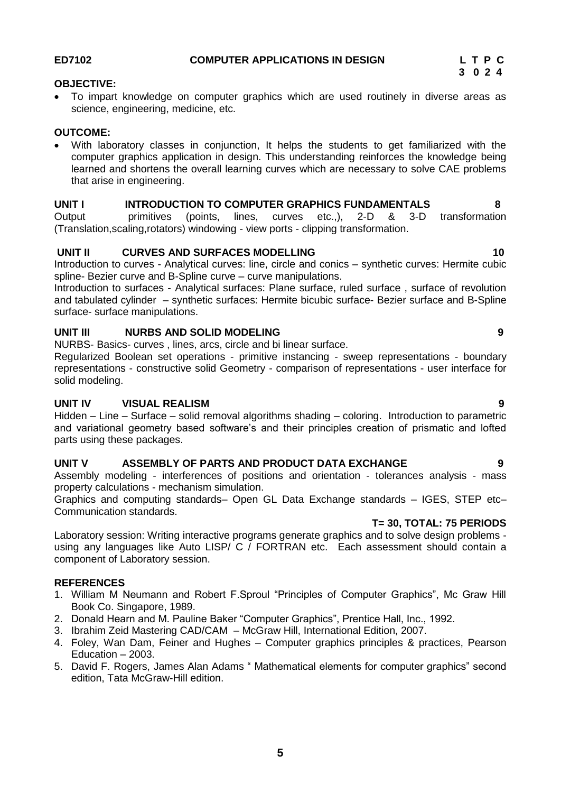#### <span id="page-4-0"></span>**OBJECTIVE:**

 To impart knowledge on computer graphics which are used routinely in diverse areas as science, engineering, medicine, etc.

#### **OUTCOME:**

 With laboratory classes in conjunction, It helps the students to get familiarized with the computer graphics application in design. This understanding reinforces the knowledge being learned and shortens the overall learning curves which are necessary to solve CAE problems that arise in engineering.

### **UNIT I INTRODUCTION TO COMPUTER GRAPHICS FUNDAMENTALS 8**

Output primitives (points, lines, curves etc.,), 2-D & 3-D transformation (Translation,scaling,rotators) windowing - view ports - clipping transformation.

#### **UNIT II** CURVES AND SURFACES MODELLING 10

Introduction to curves - Analytical curves: line, circle and conics – synthetic curves: Hermite cubic spline- Bezier curve and B-Spline curve – curve manipulations.

Introduction to surfaces - Analytical surfaces: Plane surface, ruled surface , surface of revolution and tabulated cylinder – synthetic surfaces: Hermite bicubic surface- Bezier surface and B-Spline surface- surface manipulations.

#### **UNIT III NURBS AND SOLID MODELING 9**

NURBS- Basics- curves , lines, arcs, circle and bi linear surface.

Regularized Boolean set operations - primitive instancing - sweep representations - boundary representations - constructive solid Geometry - comparison of representations - user interface for solid modeling.

### **UNIT IV VISUAL REALISM 9**

Hidden – Line – Surface – solid removal algorithms shading – coloring. Introduction to parametric and variational geometry based software's and their principles creation of prismatic and lofted parts using these packages.

### **UNIT V ASSEMBLY OF PARTS AND PRODUCT DATA EXCHANGE 9**

Assembly modeling - interferences of positions and orientation - tolerances analysis - mass property calculations - mechanism simulation.

Graphics and computing standards– Open GL Data Exchange standards – IGES, STEP etc– Communication standards.

### **T= 30, TOTAL: 75 PERIODS**

Laboratory session: Writing interactive programs generate graphics and to solve design problems using any languages like Auto LISP/ C / FORTRAN etc. Each assessment should contain a component of Laboratory session.

#### **REFERENCES**

- 1. William M Neumann and Robert F.Sproul "Principles of Computer Graphics", Mc Graw Hill Book Co. Singapore, 1989.
- 2. Donald Hearn and M. Pauline Baker "Computer Graphics", Prentice Hall, Inc., 1992.
- 3. Ibrahim Zeid Mastering CAD/CAM McGraw Hill, International Edition, 2007.
- 4. Foley, Wan Dam, Feiner and Hughes Computer graphics principles & practices, Pearson Education – 2003.
- 5. [David F. Rogers,](https://www.google.co.in/search?hl=en&safe=active&tbo=d&tbm=bks&tbm=bks&q=inauthor:%22David+F.+Rogers%22&sa=X&ei=HK7rUNPFJMSOrge82oC4DQ&ved=0CDcQ9AgwAA) [James Alan Adams](https://www.google.co.in/search?hl=en&safe=active&tbo=d&tbm=bks&tbm=bks&q=inauthor:%22James+Alan+Adams%22&sa=X&ei=HK7rUNPFJMSOrge82oC4DQ&ved=0CDgQ9AgwAA) " Mathematical elements for computer graphics" second edition, Tata McGraw-Hill edition.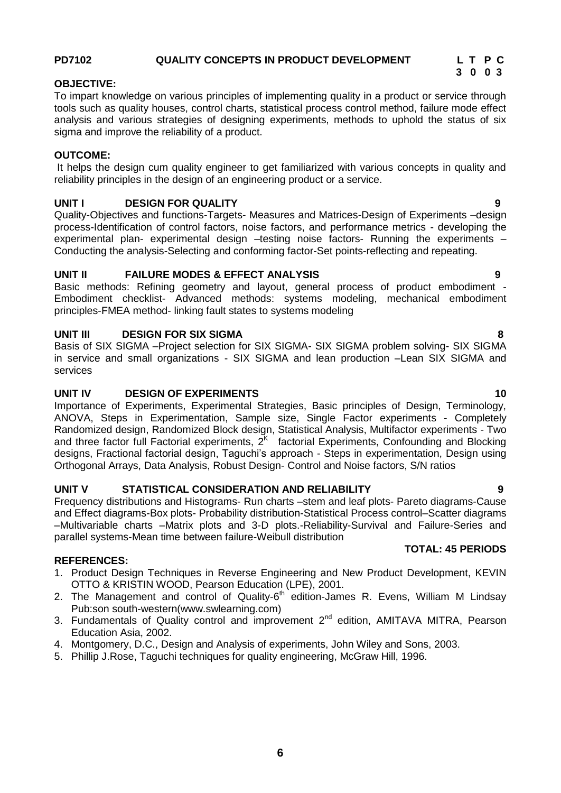# **PD7102 QUALITY CONCEPTS IN PRODUCT DEVELOPMENT L T P C**

#### **OBJECTIVE:**

To impart knowledge on various principles of implementing quality in a product or service through tools such as quality houses, control charts, statistical process control method, failure mode effect analysis and various strategies of designing experiments, methods to uphold the status of six sigma and improve the reliability of a product.

#### **OUTCOME:**

It helps the design cum quality engineer to get familiarized with various concepts in quality and reliability principles in the design of an engineering product or a service.

#### **UNIT I DESIGN FOR QUALITY 9**

Quality-Objectives and functions-Targets- Measures and Matrices-Design of Experiments –design process-Identification of control factors, noise factors, and performance metrics - developing the experimental plan- experimental design -testing noise factors- Running the experiments -Conducting the analysis-Selecting and conforming factor-Set points-reflecting and repeating.

#### **UNIT II FAILURE MODES & EFFECT ANALYSIS 9**

Basic methods: Refining geometry and layout, general process of product embodiment - Embodiment checklist- Advanced methods: systems modeling, mechanical embodiment principles-FMEA method- linking fault states to systems modeling

#### **UNIT III DESIGN FOR SIX SIGMA 8**

Basis of SIX SIGMA –Project selection for SIX SIGMA- SIX SIGMA problem solving- SIX SIGMA in service and small organizations - SIX SIGMA and lean production –Lean SIX SIGMA and services

#### **UNIT IV DESIGN OF EXPERIMENTS 40**

Importance of Experiments, Experimental Strategies, Basic principles of Design, Terminology, ANOVA, Steps in Experimentation, Sample size, Single Factor experiments - Completely Randomized design, Randomized Block design, Statistical Analysis, Multifactor experiments - Two and three factor full Factorial experiments,  $2<sup>K</sup>$  factorial Experiments, Confounding and Blocking designs, Fractional factorial design, Taguchi"s approach - Steps in experimentation, Design using Orthogonal Arrays, Data Analysis, Robust Design- Control and Noise factors, S/N ratios

#### **UNIT V STATISTICAL CONSIDERATION AND RELIABILITY 9**

Frequency distributions and Histograms- Run charts –stem and leaf plots- Pareto diagrams-Cause and Effect diagrams-Box plots- Probability distribution-Statistical Process control–Scatter diagrams –Multivariable charts –Matrix plots and 3-D plots.-Reliability-Survival and Failure-Series and parallel systems-Mean time between failure-Weibull distribution

#### **REFERENCES:**

- 1. Product Design Techniques in Reverse Engineering and New Product Development, KEVIN OTTO & KRISTIN WOOD, Pearson Education (LPE), 2001.
- 2. The Management and control of Quality-6<sup>th</sup> edition-James R. Evens, William M Lindsay Pub:son south-western[\(www.swlearning.com\)](http://www.swlearning.com/)
- 3. Fundamentals of Quality control and improvement 2<sup>nd</sup> edition, AMITAVA MITRA, Pearson Education Asia, 2002.
- 4. Montgomery, D.C., Design and Analysis of experiments, John Wiley and Sons, 2003.
- 5. Phillip J.Rose, Taguchi techniques for quality engineering, McGraw Hill, 1996.

# **TOTAL: 45 PERIODS**

# **3 0 0 3**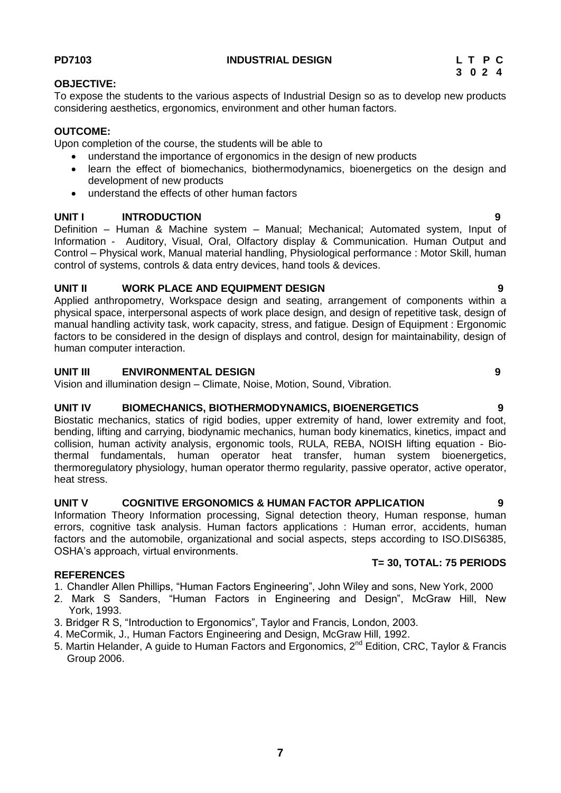#### **7**

### <span id="page-6-0"></span>**PD7103 [INDUSTRIAL](#page-6-0) DESIGN L T P C**

**OBJECTIVE:**

To expose the students to the various aspects of Industrial Design so as to develop new products considering aesthetics, ergonomics, environment and other human factors.

#### **OUTCOME:**

Upon completion of the course, the students will be able to

- understand the importance of ergonomics in the design of new products
- learn the effect of biomechanics, biothermodynamics, bioenergetics on the design and development of new products
- understand the effects of other human factors

#### **UNIT I INTRODUCTION 9**

Definition – Human & Machine system – Manual; Mechanical; Automated system, Input of Information - Auditory, Visual, Oral, Olfactory display & Communication. Human Output and Control – Physical work, Manual material handling, Physiological performance : Motor Skill, human control of systems, controls & data entry devices, hand tools & devices.

#### **UNIT II WORK PLACE AND EQUIPMENT DESIGN 9**

Applied anthropometry, Workspace design and seating, arrangement of components within a physical space, interpersonal aspects of work place design, and design of repetitive task, design of manual handling activity task, work capacity, stress, and fatigue. Design of Equipment : Ergonomic factors to be considered in the design of displays and control, design for maintainability, design of human computer interaction.

#### **UNIT III ENVIRONMENTAL DESIGN 9**

Vision and illumination design – Climate, Noise, Motion, Sound, Vibration.

#### **UNIT IV BIOMECHANICS, BIOTHERMODYNAMICS, BIOENERGETICS 9**

Biostatic mechanics, statics of rigid bodies, upper extremity of hand, lower extremity and foot, bending, lifting and carrying, biodynamic mechanics, human body kinematics, kinetics, impact and collision, human activity analysis, ergonomic tools, RULA, REBA, NOISH lifting equation - Biothermal fundamentals, human operator heat transfer, human system bioenergetics, thermoregulatory physiology, human operator thermo regularity, passive operator, active operator, heat stress.

### **UNIT V COGNITIVE ERGONOMICS & HUMAN FACTOR APPLICATION 9**

Information Theory Information processing, Signal detection theory, Human response, human errors, cognitive task analysis. Human factors applications : Human error, accidents, human factors and the automobile, organizational and social aspects, steps according to ISO.DIS6385, OSHA's approach, virtual environments.

#### **REFERENCES**

- 1. Chandler Allen Phillips, "Human Factors Engineering", John Wiley and sons, New York, 2000
- 2. Mark S Sanders, "Human Factors in Engineering and Design", McGraw Hill, New York, 1993.
- 3. Bridger R S, "Introduction to Ergonomics", Taylor and Francis, London, 2003.
- 4. MeCormik, J., Human Factors Engineering and Design, McGraw Hill, 1992.
- 5. Martin Helander, A guide to Human Factors and Ergonomics, 2<sup>nd</sup> Edition, CRC, Taylor & Francis Group 2006.

**T= 30, TOTAL: 75 PERIODS**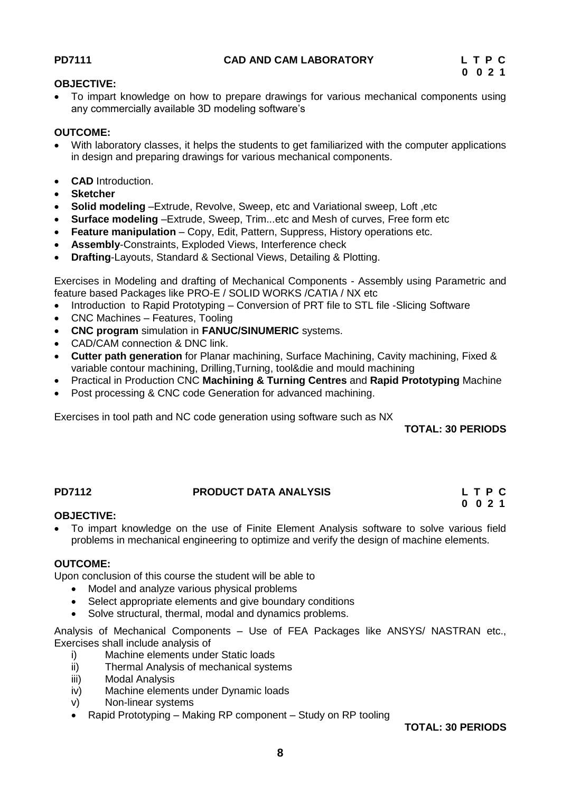#### <span id="page-7-0"></span>**OBJECTIVE:**

 To impart knowledge on how to prepare drawings for various mechanical components using any commercially available 3D modeling software"s

#### **OUTCOME:**

- With laboratory classes, it helps the students to get familiarized with the computer applications in design and preparing drawings for various mechanical components.
- **CAD** Introduction.
- **Sketcher**
- **Solid modeling** –Extrude, Revolve, Sweep, etc and Variational sweep, Loft ,etc
- **Surface modeling** –Extrude, Sweep, Trim...etc and Mesh of curves, Free form etc
- **Feature manipulation** Copy, Edit, Pattern, Suppress, History operations etc.
- **Assembly**-Constraints, Exploded Views, Interference check
- **Drafting**-Layouts, Standard & Sectional Views, Detailing & Plotting.

Exercises in Modeling and drafting of Mechanical Components - Assembly using Parametric and feature based Packages like PRO-E / SOLID WORKS /CATIA / NX etc

- Introduction to Rapid Prototyping Conversion of PRT file to STL file -Slicing Software
- CNC Machines Features, Tooling
- **CNC program** simulation in **FANUC/SINUMERIC** systems.
- CAD/CAM connection & DNC link.
- **Cutter path generation** for Planar machining, Surface Machining, Cavity machining, Fixed & variable contour machining, Drilling,Turning, tool&die and mould machining
- Practical in Production CNC **Machining & Turning Centres** and **Rapid Prototyping** Machine
- Post processing & CNC code Generation for advanced machining.

Exercises in tool path and NC code generation using software such as NX

**TOTAL: 30 PERIODS**

#### <span id="page-7-1"></span>**PD7112 PRODUCT DATA ANALYSIS L T P C**

# **0 0 2 1**

#### **OBJECTIVE:**

 To impart knowledge on the use of Finite Element Analysis software to solve various field problems in mechanical engineering to optimize and verify the design of machine elements.

#### **OUTCOME:**

Upon conclusion of this course the student will be able to

- Model and analyze various physical problems
- Select appropriate elements and give boundary conditions
- Solve structural, thermal, modal and dynamics problems.

Analysis of Mechanical Components – Use of FEA Packages like ANSYS/ NASTRAN etc., Exercises shall include analysis of

- i) Machine elements under Static loads
- ii) Thermal Analysis of mechanical systems
- iii) Modal Analysis
- iv) Machine elements under Dynamic loads
- v) Non-linear systems
- Rapid Prototyping Making RP component Study on RP tooling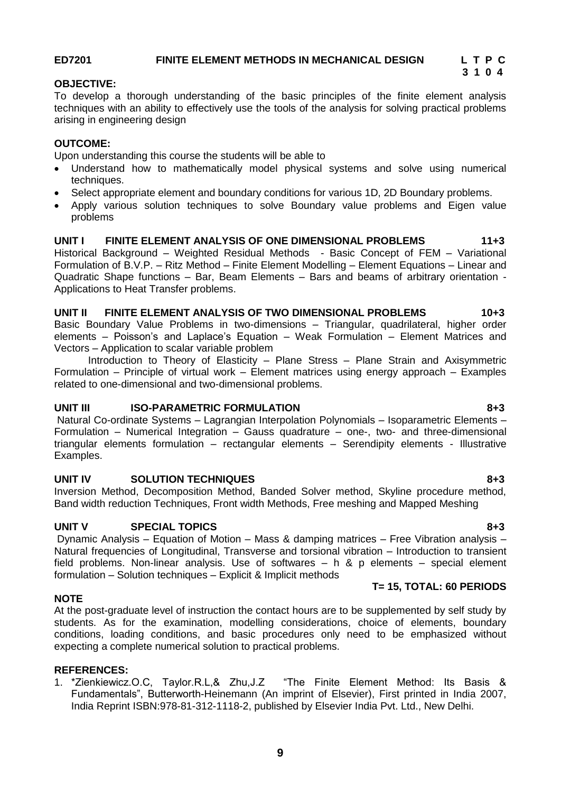# <span id="page-8-0"></span>**ED7201 FINITE ELEMENT METHODS IN MECHANICAL DESIGN L T P C**

# **3 1 0 4**

#### **OBJECTIVE:**

To develop a thorough understanding of the basic principles of the finite element analysis techniques with an ability to effectively use the tools of the analysis for solving practical problems arising in engineering design

#### **OUTCOME:**

Upon understanding this course the students will be able to

- Understand how to mathematically model physical systems and solve using numerical techniques.
- Select appropriate element and boundary conditions for various 1D, 2D Boundary problems.
- Apply various solution techniques to solve Boundary value problems and Eigen value problems

#### **UNIT I FINITE ELEMENT ANALYSIS OF ONE DIMENSIONAL PROBLEMS 11+3**

Historical Background – Weighted Residual Methods - Basic Concept of FEM – Variational Formulation of B.V.P. – Ritz Method – Finite Element Modelling – Element Equations – Linear and Quadratic Shape functions – Bar, Beam Elements – Bars and beams of arbitrary orientation - Applications to Heat Transfer problems.

#### **UNIT II FINITE ELEMENT ANALYSIS OF TWO DIMENSIONAL PROBLEMS 10+3**

Basic Boundary Value Problems in two-dimensions – Triangular, quadrilateral, higher order elements – Poisson's and Laplace's Equation – Weak Formulation – Element Matrices and Vectors – Application to scalar variable problem

Introduction to Theory of Elasticity – Plane Stress – Plane Strain and Axisymmetric Formulation – Principle of virtual work – Element matrices using energy approach – Examples related to one-dimensional and two-dimensional problems.

#### **UNIT III ISO-PARAMETRIC FORMULATION 8+3**

Natural Co-ordinate Systems – Lagrangian Interpolation Polynomials – Isoparametric Elements – Formulation – Numerical Integration – Gauss quadrature – one-, two- and three-dimensional triangular elements formulation – rectangular elements – Serendipity elements - Illustrative Examples.

#### **UNIT IV SOLUTION TECHNIQUES 8+3**

Inversion Method, Decomposition Method, Banded Solver method, Skyline procedure method, Band width reduction Techniques, Front width Methods, Free meshing and Mapped Meshing

#### UNIT V SPECIAL TOPICS 8+3

Dynamic Analysis – Equation of Motion – Mass & damping matrices – Free Vibration analysis – Natural frequencies of Longitudinal, Transverse and torsional vibration – Introduction to transient field problems. Non-linear analysis. Use of softwares – h & p elements – special element formulation – Solution techniques – Explicit & Implicit methods

# **T= 15, TOTAL: 60 PERIODS**

# **NOTE**

At the post-graduate level of instruction the contact hours are to be supplemented by self study by students. As for the examination, modelling considerations, choice of elements, boundary conditions, loading conditions, and basic procedures only need to be emphasized without expecting a complete numerical solution to practical problems.

# **REFERENCES:**

1. \*Zienkiewicz.O.C, Taylor.R.L,& Zhu,J.Z "The Finite Element Method: Its Basis & Fundamentals", Butterworth-Heinemann (An imprint of Elsevier), First printed in India 2007, India Reprint ISBN:978-81-312-1118-2, published by Elsevier India Pvt. Ltd., New Delhi.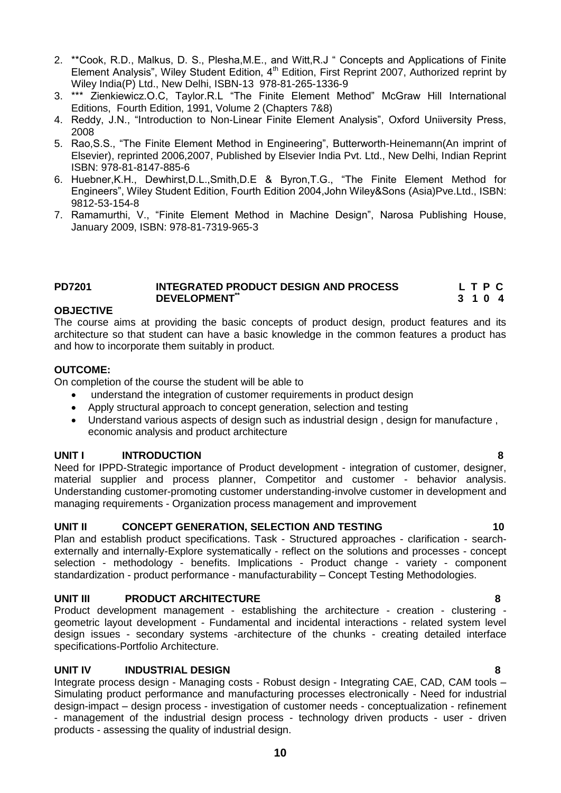- 2. \*\*Cook, R.D., Malkus, D. S., Plesha,M.E., and Witt,R.J " Concepts and Applications of Finite Element Analysis", Wiley Student Edition, 4<sup>th</sup> Edition, First Reprint 2007, Authorized reprint by Wiley India(P) Ltd., New Delhi, ISBN-13 978-81-265-1336-9
- 3. \*\*\* Zienkiewicz.O.C, Taylor.R.L "The Finite Element Method" McGraw Hill International Editions, Fourth Edition, 1991, Volume 2 (Chapters 7&8)
- 4. Reddy, J.N., "Introduction to Non-Linear Finite Element Analysis", Oxford Uniiversity Press, 2008
- 5. Rao,S.S., "The Finite Element Method in Engineering", Butterworth-Heinemann(An imprint of Elsevier), reprinted 2006,2007, Published by Elsevier India Pvt. Ltd., New Delhi, Indian Reprint ISBN: 978-81-8147-885-6
- 6. Huebner,K.H., Dewhirst,D.L.,Smith,D.E & Byron,T.G., "The Finite Element Method for Engineers", Wiley Student Edition, Fourth Edition 2004,John Wiley&Sons (Asia)Pve.Ltd., ISBN: 9812-53-154-8
- 7. Ramamurthi, V., "Finite Element Method in Machine Design", Narosa Publishing House, January 2009, ISBN: 978-81-7319-965-3

#### <span id="page-9-0"></span>**PD7201 INTEGRATED PRODUCT DESIGN AND PROCESS L T P C DEVELOPMENT\*\* 3 1 0 4**

#### **OBJECTIVE**

The course aims at providing the basic concepts of product design, product features and its architecture so that student can have a basic knowledge in the common features a product has and how to incorporate them suitably in product.

#### **OUTCOME:**

On completion of the course the student will be able to

- understand the integration of customer requirements in product design
- Apply structural approach to concept generation, selection and testing
- Understand various aspects of design such as industrial design , design for manufacture , economic analysis and product architecture

#### **UNIT I INTRODUCTION 8**

Need for IPPD-Strategic importance of Product development - integration of customer, designer, material supplier and process planner, Competitor and customer - behavior analysis. Understanding customer-promoting customer understanding-involve customer in development and managing requirements - Organization process management and improvement

#### **UNIT II CONCEPT GENERATION, SELECTION AND TESTING 10**

Plan and establish product specifications. Task - Structured approaches - clarification - searchexternally and internally-Explore systematically - reflect on the solutions and processes - concept selection - methodology - benefits. Implications - Product change - variety - component standardization - product performance - manufacturability – Concept Testing Methodologies.

#### **UNIT III PRODUCT ARCHITECTURE 8**

Product development management - establishing the architecture - creation - clustering geometric layout development - Fundamental and incidental interactions - related system level design issues - secondary systems -architecture of the chunks - creating detailed interface specifications-Portfolio Architecture.

#### **UNIT IV INDUSTRIAL DESIGN 8**

Integrate process design - Managing costs - Robust design - Integrating CAE, CAD, CAM tools – Simulating product performance and manufacturing processes electronically - Need for industrial design-impact – design process - investigation of customer needs - conceptualization - refinement - management of the industrial design process - technology driven products - user - driven products - assessing the quality of industrial design.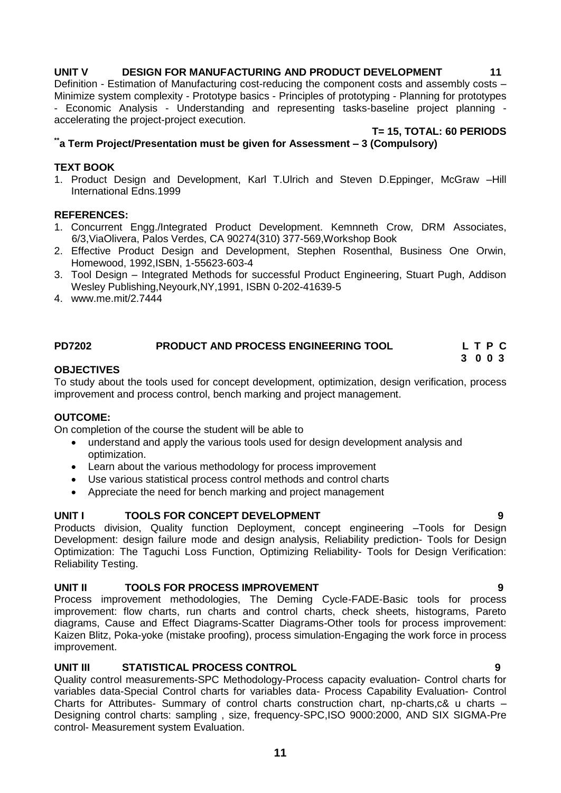#### **UNIT V DESIGN FOR MANUFACTURING AND PRODUCT DEVELOPMENT 11**

Definition - Estimation of Manufacturing cost-reducing the component costs and assembly costs – Minimize system complexity - Prototype basics - Principles of prototyping - Planning for prototypes - Economic Analysis - Understanding and representing tasks-baseline project planning accelerating the project-project execution.

**T= 15, TOTAL: 60 PERIODS**

### **\*\*a Term Project/Presentation must be given for Assessment – 3 (Compulsory)**

#### **TEXT BOOK**

1. Product Design and Development, Karl T.Ulrich and Steven D.Eppinger, McGraw –Hill International Edns.1999

#### **REFERENCES:**

- 1. Concurrent Engg./Integrated Product Development. Kemnneth Crow, DRM Associates, 6/3,ViaOlivera, Palos Verdes, CA 90274(310) 377-569,Workshop Book
- 2. Effective Product Design and Development, Stephen Rosenthal, Business One Orwin, Homewood, 1992,ISBN, 1-55623-603-4
- 3. Tool Design Integrated Methods for successful Product Engineering, Stuart Pugh, Addison Wesley Publishing,Neyourk,NY,1991, ISBN 0-202-41639-5
- 4. www.me.mit/2.7444

#### <span id="page-10-0"></span>**PD7202 PRODUCT AND PROCESS ENGINEERING TOOL L T P C 3 0 0 3**

### **OBJECTIVES**

To study about the tools used for concept development, optimization, design verification, process improvement and process control, bench marking and project management.

#### **OUTCOME:**

On completion of the course the student will be able to

- understand and apply the various tools used for design development analysis and optimization.
- Learn about the various methodology for process improvement
- Use various statistical process control methods and control charts
- Appreciate the need for bench marking and project management

### **UNIT I TOOLS FOR CONCEPT DEVELOPMENT 9**

Products division, Quality function Deployment, concept engineering –Tools for Design Development: design failure mode and design analysis, Reliability prediction- Tools for Design Optimization: The Taguchi Loss Function, Optimizing Reliability- Tools for Design Verification: Reliability Testing.

#### **UNIT II TOOLS FOR PROCESS IMPROVEMENT 9**

Process improvement methodologies, The Deming Cycle-FADE-Basic tools for process improvement: flow charts, run charts and control charts, check sheets, histograms, Pareto diagrams, Cause and Effect Diagrams-Scatter Diagrams-Other tools for process improvement: Kaizen Blitz, Poka-yoke (mistake proofing), process simulation-Engaging the work force in process improvement.

# **UNIT III STATISTICAL PROCESS CONTROL 9**

Quality control measurements-SPC Methodology-Process capacity evaluation- Control charts for variables data-Special Control charts for variables data- Process Capability Evaluation- Control Charts for Attributes- Summary of control charts construction chart, np-charts,c& u charts – Designing control charts: sampling , size, frequency-SPC,ISO 9000:2000, AND SIX SIGMA-Pre control- Measurement system Evaluation.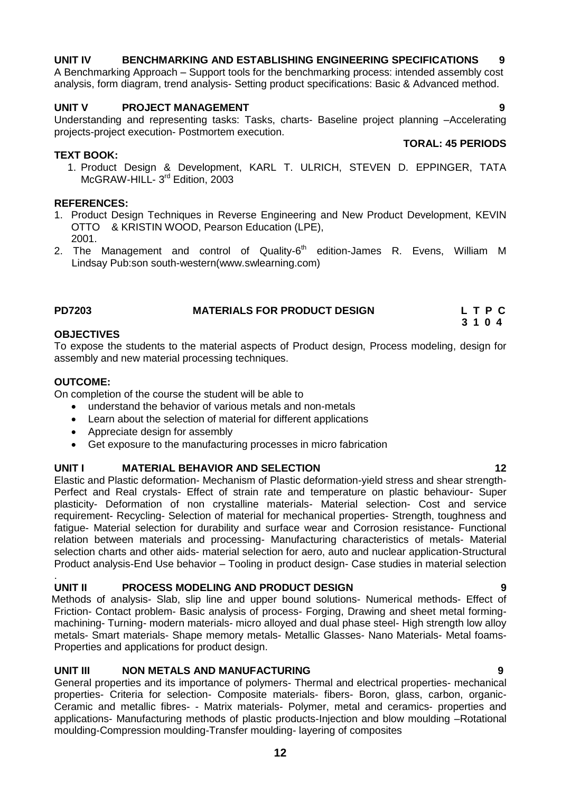# **UNIT IV BENCHMARKING AND ESTABLISHING ENGINEERING SPECIFICATIONS 9**

A Benchmarking Approach – Support tools for the benchmarking process: intended assembly cost analysis, form diagram, trend analysis- Setting product specifications: Basic & Advanced method.

### **UNIT V PROJECT MANAGEMENT PROJECT AND ASSESS**

Understanding and representing tasks: Tasks, charts- Baseline project planning –Accelerating projects-project execution- Postmortem execution. **TORAL: 45 PERIODS**

#### **TEXT BOOK:**

1. Product Design & Development, KARL T. ULRICH, STEVEN D. EPPINGER, TATA McGRAW-HILL- 3<sup>rd</sup> Edition, 2003

#### **REFERENCES:**

- 1. Product Design Techniques in Reverse Engineering and New Product Development, KEVIN OTTO & KRISTIN WOOD, Pearson Education (LPE), 2001.
- 2. The Management and control of Quality-6<sup>th</sup> edition-James R. Evens, William M Lindsay Pub:son south-western(www.swlearning.com)

#### <span id="page-11-0"></span>**PD7203 MATERIALS FOR PRODUCT DESIGN L T P C 3 1 0 4**

#### **OBJECTIVES**

To expose the students to the material aspects of Product design, Process modeling, design for assembly and new material processing techniques.

#### **OUTCOME:**

.

On completion of the course the student will be able to

- understand the behavior of various metals and non-metals
- Learn about the selection of material for different applications
- Appreciate design for assembly
- Get exposure to the manufacturing processes in micro fabrication

### **UNIT I MATERIAL BEHAVIOR AND SELECTION 12**

Elastic and Plastic deformation- Mechanism of Plastic deformation-yield stress and shear strength-Perfect and Real crystals- Effect of strain rate and temperature on plastic behaviour- Super plasticity- Deformation of non crystalline materials- Material selection- Cost and service requirement- Recycling- Selection of material for mechanical properties- Strength, toughness and fatigue- Material selection for durability and surface wear and Corrosion resistance- Functional relation between materials and processing- Manufacturing characteristics of metals- Material selection charts and other aids- material selection for aero, auto and nuclear application-Structural Product analysis-End Use behavior – Tooling in product design- Case studies in material selection

#### **UNIT II** PROCESS MODELING AND PRODUCT DESIGN

 Methods of analysis- Slab, slip line and upper bound solutions- Numerical methods- Effect of Friction- Contact problem- Basic analysis of process- Forging, Drawing and sheet metal formingmachining- Turning- modern materials- micro alloyed and dual phase steel- High strength low alloy metals- Smart materials- Shape memory metals- Metallic Glasses- Nano Materials- Metal foams-Properties and applications for product design.

### **UNIT III NON METALS AND MANUFACTURING 9**

 General properties and its importance of polymers- Thermal and electrical properties- mechanical properties- Criteria for selection- Composite materials- fibers- Boron, glass, carbon, organic-Ceramic and metallic fibres- - Matrix materials- Polymer, metal and ceramics- properties and applications- Manufacturing methods of plastic products-Injection and blow moulding –Rotational moulding-Compression moulding-Transfer moulding- layering of composites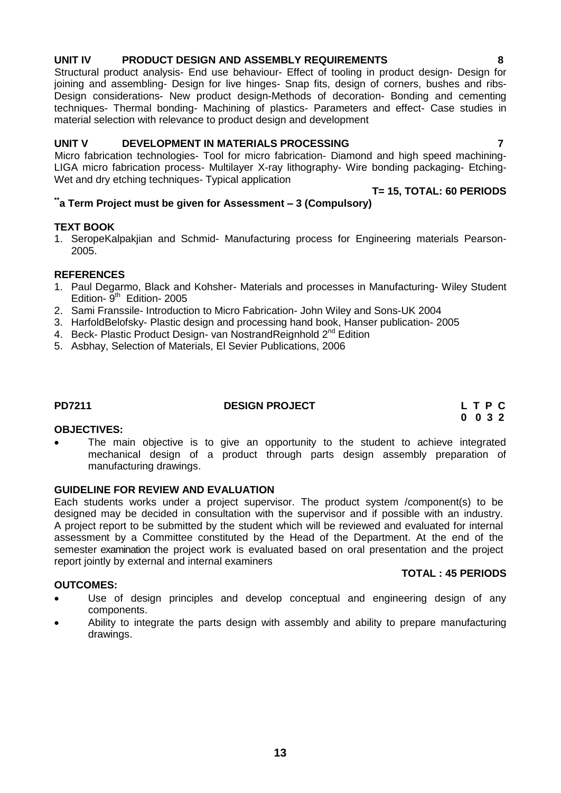# **UNIT IV PRODUCT DESIGN AND ASSEMBLY REQUIREMENTS 8**

 Structural product analysis- End use behaviour- Effect of tooling in product design- Design for joining and assembling- Design for live hinges- Snap fits, design of corners, bushes and ribs-Design considerations- New product design-Methods of decoration- Bonding and cementing techniques- Thermal bonding- Machining of plastics- Parameters and effect- Case studies in material selection with relevance to product design and development

# **UNIT V DEVELOPMENT IN MATERIALS PROCESSING 7**

 Micro fabrication technologies- Tool for micro fabrication- Diamond and high speed machining-LIGA micro fabrication process- Multilayer X-ray lithography- Wire bonding packaging- Etching-Wet and dry etching techniques- Typical application

#### **T= 15, TOTAL: 60 PERIODS \*\*a Term Project must be given for Assessment – 3 (Compulsory)**

# **TEXT BOOK**

1. SeropeKalpakjian and Schmid- Manufacturing process for Engineering materials Pearson-2005.

# **REFERENCES**

- 1. Paul Degarmo, Black and Kohsher- Materials and processes in Manufacturing- Wiley Student Edition- 9<sup>th</sup> Edition- 2005
- 2. Sami Franssile- Introduction to Micro Fabrication- John Wiley and Sons-UK 2004
- 3. HarfoldBelofsky- Plastic design and processing hand book, Hanser publication- 2005
- 4. Beck- Plastic Product Design- van NostrandReignhold 2<sup>nd</sup> Edition
- 5. Asbhay, Selection of Materials, El Sevier Publications, 2006

# **PD7211 DESIGN PROJECT L T P C**

# **0 0 3 2**

# **OBJECTIVES:**

 The main objective is to give an opportunity to the student to achieve integrated mechanical design of a product through parts design assembly preparation of manufacturing drawings.

# **GUIDELINE FOR REVIEW AND EVALUATION**

Each students works under a project supervisor. The product system /component(s) to be designed may be decided in consultation with the supervisor and if possible with an industry. A project report to be submitted by the student which will be reviewed and evaluated for internal assessment by a Committee constituted by the Head of the Department. At the end of the semester examination the project work is evaluated based on oral presentation and the project report jointly by external and internal examiners **TOTAL : 45 PERIODS**

# **OUTCOMES:**

- Use of design principles and develop conceptual and engineering design of any components.
- Ability to integrate the parts design with assembly and ability to prepare manufacturing drawings.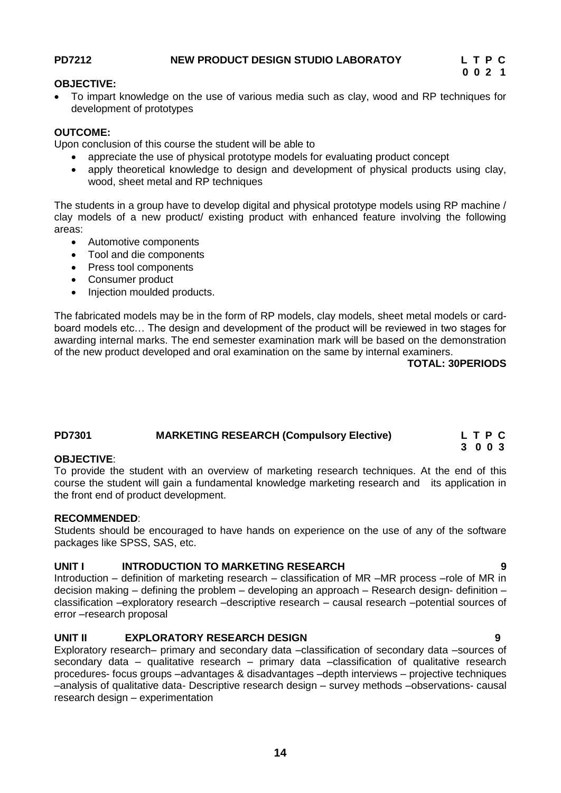#### <span id="page-13-0"></span>**OBJECTIVE:**

 To impart knowledge on the use of various media such as clay, wood and RP techniques for development of prototypes

#### **OUTCOME:**

Upon conclusion of this course the student will be able to

- appreciate the use of physical prototype models for evaluating product concept
- apply theoretical knowledge to design and development of physical products using clay, wood, sheet metal and RP techniques

The students in a group have to develop digital and physical prototype models using RP machine / clay models of a new product/ existing product with enhanced feature involving the following areas:

- Automotive components
- Tool and die components
- Press tool components
- Consumer product
- Injection moulded products.

The fabricated models may be in the form of RP models, clay models, sheet metal models or cardboard models etc… The design and development of the product will be reviewed in two stages for awarding internal marks. The end semester examination mark will be based on the demonstration of the new product developed and oral examination on the same by internal examiners.

**TOTAL: 30PERIODS**

**3 0 0 3**

### **PD7301 MARKETING RESEARCH (Compulsory Elective) L T P C**

#### **OBJECTIVE**:

To provide the student with an overview of marketing research techniques. At the end of this course the student will gain a fundamental knowledge marketing research and its application in the front end of product development.

#### **RECOMMENDED**:

Students should be encouraged to have hands on experience on the use of any of the software packages like SPSS, SAS, etc.

#### **UNIT I INTRODUCTION TO MARKETING RESEARCH 9**

Introduction – definition of marketing research – classification of MR –MR process –role of MR in decision making – defining the problem – developing an approach – Research design- definition – classification –exploratory research –descriptive research – causal research –potential sources of error –research proposal

#### **UNIT II EXPLORATORY RESEARCH DESIGN 9**

Exploratory research– primary and secondary data –classification of secondary data –sources of secondary data – qualitative research – primary data –classification of qualitative research procedures- focus groups –advantages & disadvantages –depth interviews – projective techniques –analysis of qualitative data- Descriptive research design – survey methods –observations- causal research design – experimentation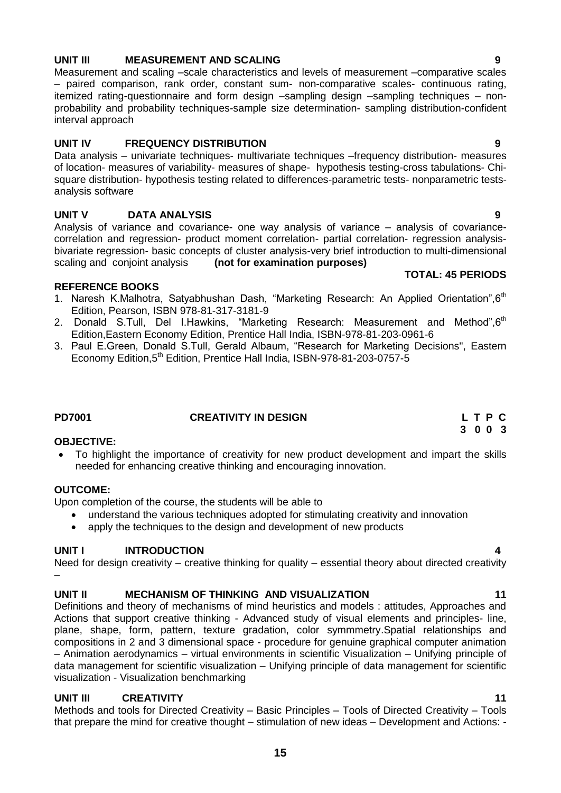### **UNIT III MEASUREMENT AND SCALING 9**

Measurement and scaling –scale characteristics and levels of measurement –comparative scales – paired comparison, rank order, constant sum- non-comparative scales- continuous rating, itemized rating-questionnaire and form design –sampling design –sampling techniques – nonprobability and probability techniques-sample size determination- sampling distribution-confident interval approach

#### **UNIT IV FREQUENCY DISTRIBUTION 9**

Data analysis – univariate techniques- multivariate techniques –frequency distribution- measures of location- measures of variability- measures of shape- hypothesis testing-cross tabulations- Chisquare distribution- hypothesis testing related to differences-parametric tests- nonparametric testsanalysis software

# **UNIT V DATA ANALYSIS 9**

Analysis of variance and covariance- one way analysis of variance – analysis of covariancecorrelation and regression- product moment correlation- partial correlation- regression analysisbivariate regression- basic concepts of cluster analysis-very brief introduction to multi-dimensional scaling and conjoint analysis **(not for examination purposes)**

#### **REFERENCE BOOKS**

- 1. Naresh K.Malhotra, Satyabhushan Dash, "Marketing Research: An Applied Orientation", 6<sup>th</sup> Edition, Pearson, ISBN 978-81-317-3181-9
- 2. Donald S.Tull, Del I.Hawkins, "Marketing Research: Measurement and Method", 6<sup>th</sup> Edition,Eastern Economy Edition, Prentice Hall India, ISBN-978-81-203-0961-6
- 3. Paul E.Green, Donald S.Tull, Gerald Albaum, "Research for Marketing Decisions", Eastern Economy Edition, 5<sup>th</sup> Edition, Prentice Hall India, ISBN-978-81-203-0757-5

#### **OBJECTIVE:**

 To highlight the importance of creativity for new product development and impart the skills needed for enhancing creative thinking and encouraging innovation.

#### **OUTCOME:**

–

Upon completion of the course, the students will be able to

- understand the various techniques adopted for stimulating creativity and innovation
- apply the techniques to the design and development of new products

#### **UNIT I INTRODUCTION 4**

Need for design creativity – creative thinking for quality – essential theory about directed creativity

#### **UNIT II MECHANISM OF THINKING AND VISUALIZATION 11**

Definitions and theory of mechanisms of mind heuristics and models : attitudes, Approaches and Actions that support creative thinking - Advanced study of visual elements and principles- line, plane, shape, form, pattern, texture gradation, color symmmetry.Spatial relationships and compositions in 2 and 3 dimensional space - procedure for genuine graphical computer animation – Animation aerodynamics – virtual environments in scientific Visualization – Unifying principle of data management for scientific visualization – Unifying principle of data management for scientific visualization - Visualization benchmarking

### **UNIT III CREATIVITY 11**

Methods and tools for Directed Creativity – Basic Principles – Tools of Directed Creativity – Tools that prepare the mind for creative thought – stimulation of new ideas – Development and Actions: -

**TOTAL: 45 PERIODS**

### <span id="page-14-0"></span>**PD7001 CREATIVITY IN DESIGN L T P C 3 0 0 3**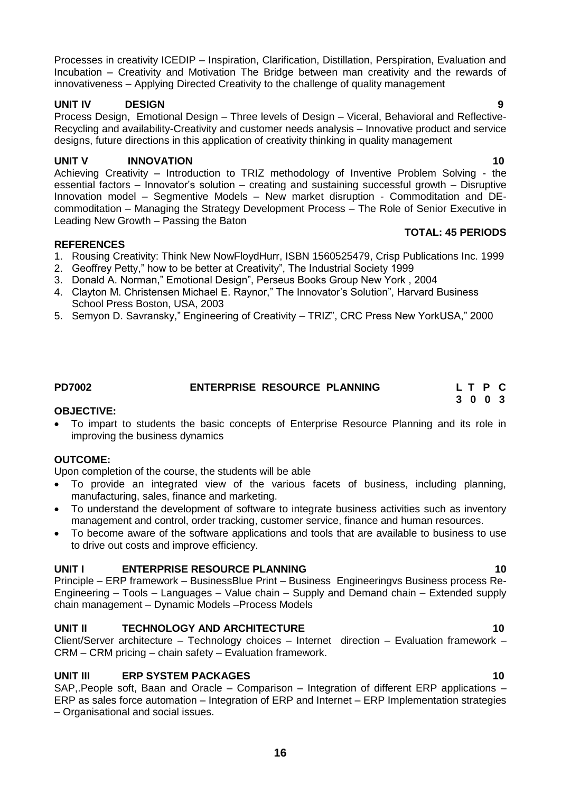Processes in creativity ICEDIP – Inspiration, Clarification, Distillation, Perspiration, Evaluation and Incubation – Creativity and Motivation The Bridge between man creativity and the rewards of innovativeness – Applying Directed Creativity to the challenge of quality management

# **UNIT IV DESIGN 9**

Process Design, Emotional Design – Three levels of Design – Viceral, Behavioral and Reflective-Recycling and availability-Creativity and customer needs analysis – Innovative product and service designs, future directions in this application of creativity thinking in quality management

# UNIT V INNOVATION 10

Achieving Creativity – Introduction to TRIZ methodology of Inventive Problem Solving - the essential factors  $-$  Innovator's solution  $-$  creating and sustaining successful growth  $-$  Disruptive Innovation model – Segmentive Models – New market disruption - Commoditation and DEcommoditation – Managing the Strategy Development Process – The Role of Senior Executive in Leading New Growth – Passing the Baton

### **REFERENCES**

- 1. Rousing Creativity: Think New NowFloydHurr, ISBN 1560525479, Crisp Publications Inc. 1999
- 2. Geoffrey Petty," how to be better at Creativity", The Industrial Society 1999
- 3. Donald A. Norman," Emotional Design", Perseus Books Group New York , 2004
- 4. Clayton M. Christensen Michael E. Raynor," The Innovator's Solution", Harvard Business School Press Boston, USA, 2003
- 5. Semyon D. Savransky," Engineering of Creativity TRIZ", CRC Press New YorkUSA," 2000

**OBJECTIVE:** To impart to students the basic concepts of Enterprise Resource Planning and its role in improving the business dynamics

# **OUTCOME:**

Upon completion of the course, the students will be able

- To provide an integrated view of the various facets of business, including planning, manufacturing, sales, finance and marketing.
- To understand the development of software to integrate business activities such as inventory management and control, order tracking, customer service, finance and human resources.
- To become aware of the software applications and tools that are available to business to use to drive out costs and improve efficiency.

# **UNIT I ENTERPRISE RESOURCE PLANNING 10**

Principle – ERP framework – BusinessBlue Print – Business Engineeringvs Business process Re-Engineering – Tools – Languages – Value chain – Supply and Demand chain – Extended supply chain management – Dynamic Models –Process Models

# **UNIT II TECHNOLOGY AND ARCHITECTURE 10**

Client/Server architecture – Technology choices – Internet direction – Evaluation framework – CRM – CRM pricing – chain safety – Evaluation framework.

# **UNIT III ERP SYSTEM PACKAGES 10**

SAP,.People soft, Baan and Oracle – Comparison – Integration of different ERP applications – ERP as sales force automation – Integration of ERP and Internet – ERP Implementation strategies – Organisational and social issues.

#### **TOTAL: 45 PERIODS**

### <span id="page-15-0"></span>**PD7002 ENTERPRISE RESOURCE PLANNING L T P C 3 0 0 3**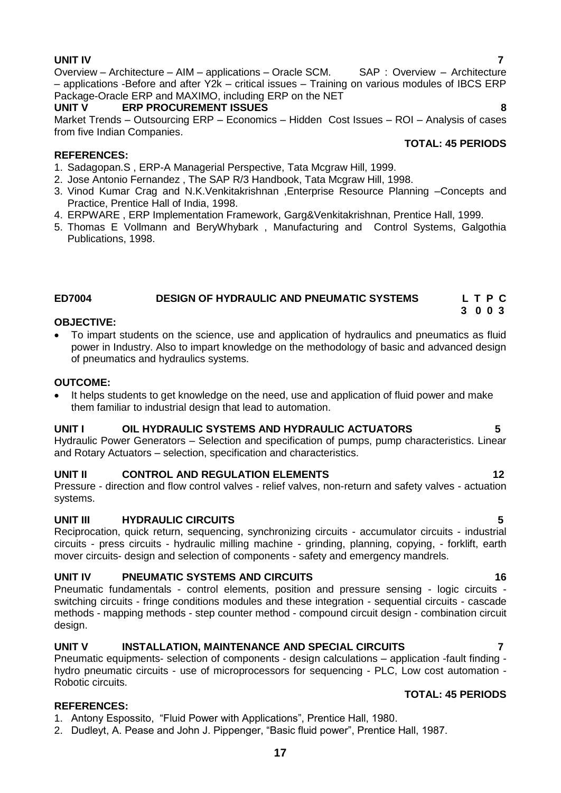# **UNIT IV 7**

Overview – Architecture – AIM – applications – Oracle SCM. SAP: Overview – Architecture – applications -Before and after Y2k – critical issues – Training on various modules of IBCS ERP Package-Oracle ERP and MAXIMO, including ERP on the NET

#### **UNIT V ERP PROCUREMENT ISSUES 8**

Market Trends – Outsourcing ERP – Economics – Hidden Cost Issues – ROI – Analysis of cases from five Indian Companies. **TOTAL: 45 PERIODS**

#### **REFERENCES:**

- 1. Sadagopan.S , ERP-A Managerial Perspective, Tata Mcgraw Hill, 1999.
- 2. Jose Antonio Fernandez , The SAP R/3 Handbook, Tata Mcgraw Hill, 1998.
- 3. Vinod Kumar Crag and N.K.Venkitakrishnan ,Enterprise Resource Planning –Concepts and Practice, Prentice Hall of India, 1998.
- 4. ERPWARE , ERP Implementation Framework, Garg&Venkitakrishnan, Prentice Hall, 1999.
- 5. Thomas E Vollmann and BeryWhybark , Manufacturing and Control Systems, Galgothia Publications, 1998.

#### <span id="page-16-0"></span>**ED7004 DESIGN OF HYDRAULIC AND PNEUMATIC SYSTEMS L T P C**

#### **OBJECTIVE:**

 To impart students on the science, use and application of hydraulics and pneumatics as fluid power in Industry. Also to impart knowledge on the methodology of basic and advanced design of pneumatics and hydraulics systems.

#### **OUTCOME:**

• It helps students to get knowledge on the need, use and application of fluid power and make them familiar to industrial design that lead to automation.

#### **UNIT I OIL HYDRAULIC SYSTEMS AND HYDRAULIC ACTUATORS 5**

Hydraulic Power Generators – Selection and specification of pumps, pump characteristics. Linear and Rotary Actuators – selection, specification and characteristics.

#### **UNIT II CONTROL AND REGULATION ELEMENTS 12**

Pressure - direction and flow control valves - relief valves, non-return and safety valves - actuation systems.

#### **UNIT III HYDRAULIC CIRCUITS 5**

Reciprocation, quick return, sequencing, synchronizing circuits - accumulator circuits - industrial circuits - press circuits - hydraulic milling machine - grinding, planning, copying, - forklift, earth mover circuits- design and selection of components - safety and emergency mandrels.

#### **UNIT IV PNEUMATIC SYSTEMS AND CIRCUITS 46 16**

Pneumatic fundamentals - control elements, position and pressure sensing - logic circuits switching circuits - fringe conditions modules and these integration - sequential circuits - cascade methods - mapping methods - step counter method - compound circuit design - combination circuit design.

#### **UNIT V INSTALLATION, MAINTENANCE AND SPECIAL CIRCUITS 7**

Pneumatic equipments- selection of components - design calculations – application -fault finding hydro pneumatic circuits - use of microprocessors for sequencing - PLC, Low cost automation - Robotic circuits.

#### **REFERENCES:**

1. Antony Espossito, "Fluid Power with Applications", Prentice Hall, 1980.

2. Dudleyt, A. Pease and John J. Pippenger, "Basic fluid power", Prentice Hall, 1987.

**TOTAL: 45 PERIODS**

**3 0 0 3**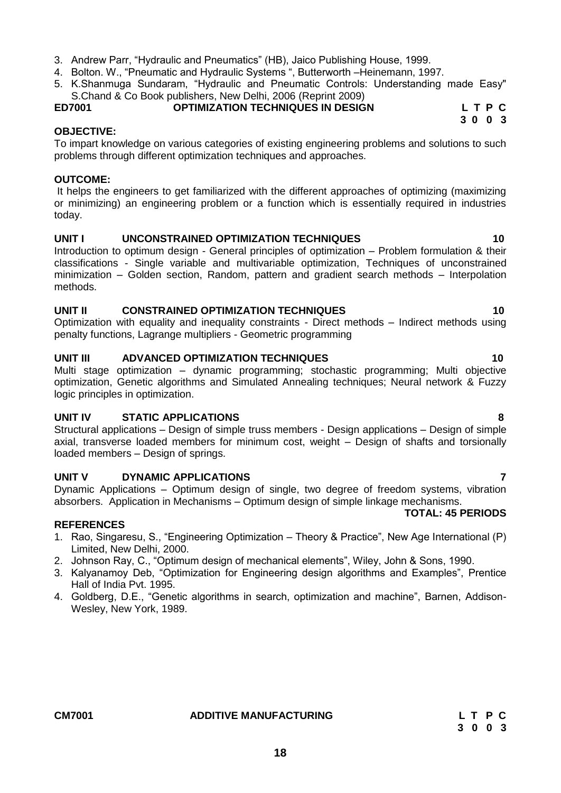- 3. Andrew Parr, "Hydraulic and Pneumatics" (HB), Jaico Publishing House, 1999.
- 4. Bolton. W., "Pneumatic and Hydraulic Systems ", Butterworth –Heinemann, 1997.
- 5. K.Shanmuga Sundaram, "Hydraulic and Pneumatic Controls: Understanding made Easy" S.Chand & Co Book publishers, New Delhi, 2006 (Reprint 2009)

# <span id="page-17-0"></span>**ED7001 OPTIMIZATION TECHNIQUES IN DESIGN L T P C**

To impart knowledge on various categories of existing engineering problems and solutions to such problems through different optimization techniques and approaches.

#### **OUTCOME:**

**OBJECTIVE:**

It helps the engineers to get familiarized with the different approaches of optimizing (maximizing or minimizing) an engineering problem or a function which is essentially required in industries today.

### **UNIT I UNCONSTRAINED OPTIMIZATION TECHNIQUES 10**

Introduction to optimum design - General principles of optimization – Problem formulation & their classifications - Single variable and multivariable optimization, Techniques of unconstrained minimization – Golden section, Random, pattern and gradient search methods – Interpolation methods.

### **UNIT II CONSTRAINED OPTIMIZATION TECHNIQUES 10**

Optimization with equality and inequality constraints - Direct methods – Indirect methods using penalty functions, Lagrange multipliers - Geometric programming

### **UNIT III ADVANCED OPTIMIZATION TECHNIQUES 10**

Multi stage optimization – dynamic programming; stochastic programming; Multi objective optimization, Genetic algorithms and Simulated Annealing techniques; Neural network & Fuzzy logic principles in optimization.

### **UNIT IV STATIC APPLICATIONS 8**

Structural applications – Design of simple truss members - Design applications – Design of simple axial, transverse loaded members for minimum cost, weight – Design of shafts and torsionally loaded members – Design of springs.

### **UNIT V DYNAMIC APPLICATIONS 7**

Dynamic Applications – Optimum design of single, two degree of freedom systems, vibration absorbers. Application in Mechanisms – Optimum design of simple linkage mechanisms.

### **REFERENCES**

- 1. Rao, Singaresu, S., "Engineering Optimization Theory & Practice", New Age International (P) Limited, New Delhi, 2000.
- 2. Johnson Ray, C., "Optimum design of mechanical elements", Wiley, John & Sons, 1990.
- 3. Kalyanamoy Deb, "Optimization for Engineering design algorithms and Examples", Prentice Hall of India Pvt. 1995.
- 4. Goldberg, D.E., "Genetic algorithms in search, optimization and machine", Barnen, Addison-Wesley, New York, 1989.

 **3 0 0 3**

# **TOTAL: 45 PERIODS**

**CM7001 ADDITIVE MANUFACTURING L T P C 3 0 0 3**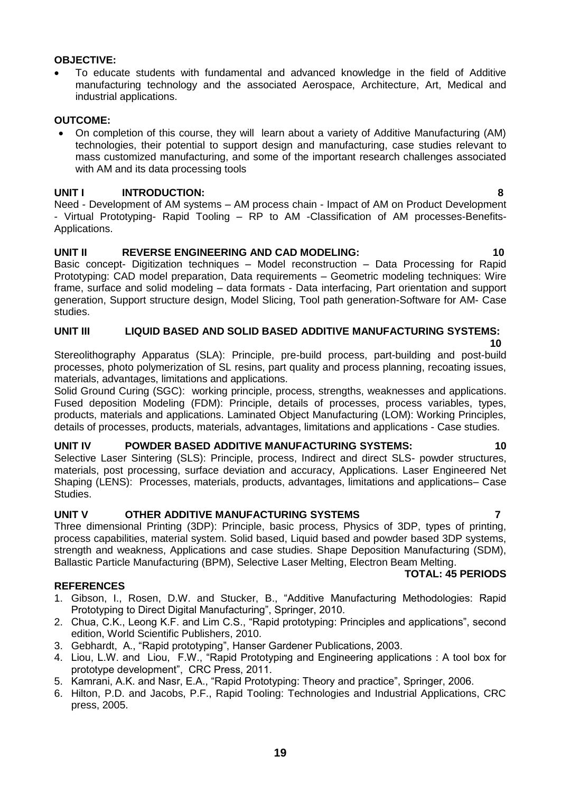#### **19**

#### **OBJECTIVE:**

 To educate students with fundamental and advanced knowledge in the field of Additive manufacturing technology and the associated Aerospace, Architecture, Art, Medical and industrial applications.

#### **OUTCOME:**

 On completion of this course, they will learn about a variety of Additive Manufacturing (AM) technologies, their potential to support design and manufacturing, case studies relevant to mass customized manufacturing, and some of the important research challenges associated with AM and its data processing tools

#### **UNIT I INTRODUCTION: 8**

Need - Development of AM systems – AM process chain - Impact of AM on Product Development - Virtual Prototyping- Rapid Tooling – RP to AM -Classification of AM processes-Benefits-Applications.

#### **UNIT II REVERSE ENGINEERING AND CAD MODELING: 10** 10

Basic concept- Digitization techniques – Model reconstruction – Data Processing for Rapid Prototyping: CAD model preparation, Data requirements – Geometric modeling techniques: Wire frame, surface and solid modeling – data formats - Data interfacing, Part orientation and support generation, Support structure design, Model Slicing, Tool path generation-Software for AM- Case studies.

#### **UNIT III LIQUID BASED AND SOLID BASED ADDITIVE MANUFACTURING SYSTEMS:**

 **10**

Stereolithography Apparatus (SLA): Principle, pre-build process, part-building and post-build processes, photo polymerization of SL resins, part quality and process planning, recoating issues, materials, advantages, limitations and applications.

Solid Ground Curing (SGC): working principle, process, strengths, weaknesses and applications. Fused deposition Modeling (FDM): Principle, details of processes, process variables, types, products, materials and applications. Laminated Object Manufacturing (LOM): Working Principles, details of processes, products, materials, advantages, limitations and applications - Case studies.

#### **UNIT IV POWDER BASED ADDITIVE MANUFACTURING SYSTEMS: 10**

Selective Laser Sintering (SLS): Principle, process, Indirect and direct SLS- powder structures, materials, post processing, surface deviation and accuracy, Applications. Laser Engineered Net Shaping (LENS): Processes, materials, products, advantages, limitations and applications– Case Studies.

#### **UNIT V OTHER ADDITIVE MANUFACTURING SYSTEMS 7**

Three dimensional Printing (3DP): Principle, basic process, Physics of 3DP, types of printing, process capabilities, material system. Solid based, Liquid based and powder based 3DP systems, strength and weakness, Applications and case studies. Shape Deposition Manufacturing (SDM), Ballastic Particle Manufacturing (BPM), Selective Laser Melting, Electron Beam Melting.

#### **TOTAL: 45 PERIODS**

#### **REFERENCES**

- 1. Gibson, I., Rosen, D.W. and Stucker, B., "Additive Manufacturing Methodologies: Rapid Prototyping to Direct Digital Manufacturing", Springer, 2010.
- 2. Chua, C.K., Leong K.F. and Lim C.S., "Rapid prototyping: Principles and applications", second edition, World Scientific Publishers, 2010.
- 3. Gebhardt, A., "Rapid prototyping", Hanser Gardener Publications, 2003.
- 4. Liou, L.W. and Liou, F.W., "Rapid Prototyping and Engineering applications : A tool box for prototype development", CRC Press, 2011.
- 5. Kamrani, A.K. and Nasr, E.A., "Rapid Prototyping: Theory and practice", Springer, 2006.
- 6. Hilton, P.D. and Jacobs, P.F., Rapid Tooling: Technologies and Industrial Applications, CRC press, 2005.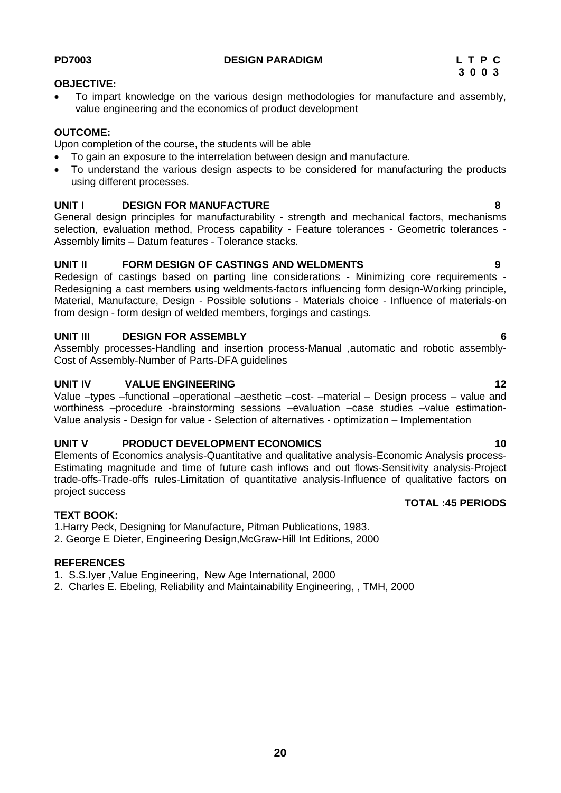#### <span id="page-19-0"></span>**OBJECTIVE:**

 To impart knowledge on the various design methodologies for manufacture and assembly, value engineering and the economics of product development

#### **OUTCOME:**

Upon completion of the course, the students will be able

- To gain an exposure to the interrelation between design and manufacture.
- To understand the various design aspects to be considered for manufacturing the products using different processes.

#### **UNIT I DESIGN FOR MANUFACTURE 8**

General design principles for manufacturability - strength and mechanical factors, mechanisms selection, evaluation method, Process capability - Feature tolerances - Geometric tolerances - Assembly limits – Datum features - Tolerance stacks.

#### **UNIT II FORM DESIGN OF CASTINGS AND WELDMENTS 9**

Redesign of castings based on parting line considerations - Minimizing core requirements - Redesigning a cast members using weldments-factors influencing form design-Working principle, Material, Manufacture, Design - Possible solutions - Materials choice - Influence of materials-on from design - form design of welded members, forgings and castings.

#### **UNIT III DESIGN FOR ASSEMBLY 6**

Assembly processes-Handling and insertion process-Manual ,automatic and robotic assembly-Cost of Assembly-Number of Parts-DFA guidelines

#### **UNIT IV VALUE ENGINEERING 12**

Value –types –functional –operational –aesthetic –cost- –material – Design process – value and worthiness –procedure -brainstorming sessions –evaluation –case studies –value estimation-Value analysis - Design for value - Selection of alternatives - optimization – Implementation

#### **UNIT V PRODUCT DEVELOPMENT ECONOMICS 10**

Elements of Economics analysis-Quantitative and qualitative analysis-Economic Analysis process-Estimating magnitude and time of future cash inflows and out flows-Sensitivity analysis-Project trade-offs-Trade-offs rules-Limitation of quantitative analysis-Influence of qualitative factors on project success **TOTAL :45 PERIODS**

#### **TEXT BOOK:**

1.Harry Peck, Designing for Manufacture, Pitman Publications, 1983.

2. George E Dieter, Engineering Design,McGraw-Hill Int Editions, 2000

#### **REFERENCES**

1. S.S.Iyer ,Value Engineering, New Age International, 2000

2. Charles E. Ebeling, Reliability and Maintainability Engineering, , TMH, 2000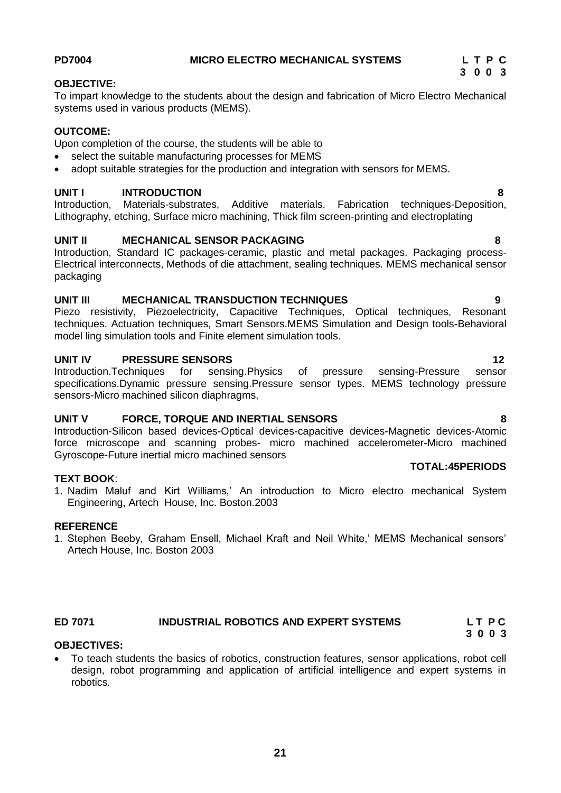# <span id="page-20-0"></span>**PD7004 MICRO ELECTRO MECHANICAL SYSTEMS L T P C**

## **OBJECTIVE:**

To impart knowledge to the students about the design and fabrication of Micro Electro Mechanical systems used in various products (MEMS).

### **OUTCOME:**

Upon completion of the course, the students will be able to

- select the suitable manufacturing processes for MEMS
- adopt suitable strategies for the production and integration with sensors for MEMS.

### **UNIT I INTRODUCTION 8**

Introduction, Materials-substrates, Additive materials. Fabrication techniques-Deposition, Lithography, etching, Surface micro machining, Thick film screen-printing and electroplating

### **UNIT II MECHANICAL SENSOR PACKAGING 8**

Introduction, Standard IC packages-ceramic, plastic and metal packages. Packaging process-Electrical interconnects, Methods of die attachment, sealing techniques. MEMS mechanical sensor packaging

#### **UNIT III MECHANICAL TRANSDUCTION TECHNIQUES 9**

Piezo resistivity, Piezoelectricity, Capacitive Techniques, Optical techniques, Resonant techniques. Actuation techniques, Smart Sensors.MEMS Simulation and Design tools-Behavioral model ling simulation tools and Finite element simulation tools.

### **UNIT IV PRESSURE SENSORS 12**

Introduction.Techniques for sensing.Physics of pressure sensing-Pressure sensor specifications.Dynamic pressure sensing.Pressure sensor types. MEMS technology pressure sensors-Micro machined silicon diaphragms,

### **UNIT V FORCE, TORQUE AND INERTIAL SENSORS 8**

Introduction-Silicon based devices-Optical devices-capacitive devices-Magnetic devices-Atomic force microscope and scanning probes- micro machined accelerometer-Micro machined Gyroscope-Future inertial micro machined sensors

#### **TEXT BOOK**:

1. Nadim Maluf and Kirt Williams," An introduction to Micro electro mechanical System Engineering, Artech House, Inc. Boston.2003

#### **REFERENCE**

1. Stephen Beeby, Graham Ensell, Michael Kraft and Neil White," MEMS Mechanical sensors" Artech House, Inc. Boston 2003

#### <span id="page-20-1"></span>**ED 7071 INDUSTRIAL ROBOTICS AND EXPERT SYSTEMS L T P C 3 0 0 3**

#### **OBJECTIVES:**

 To teach students the basics of robotics, construction features, sensor applications, robot cell design, robot programming and application of artificial intelligence and expert systems in robotics.

**TOTAL:45PERIODS**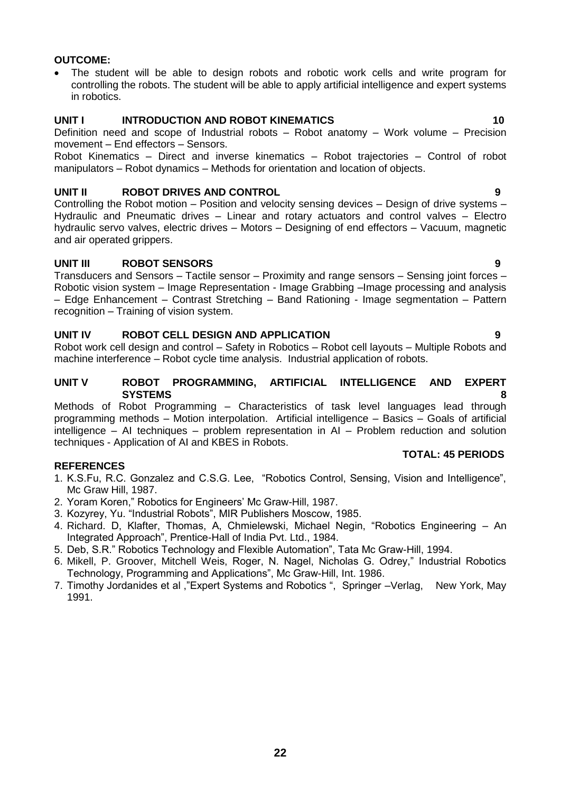#### **OUTCOME:**

 The student will be able to design robots and robotic work cells and write program for controlling the robots. The student will be able to apply artificial intelligence and expert systems in robotics.

#### **UNIT I INTRODUCTION AND ROBOT KINEMATICS 10**

Definition need and scope of Industrial robots – Robot anatomy – Work volume – Precision movement – End effectors – Sensors.

Robot Kinematics – Direct and inverse kinematics – Robot trajectories – Control of robot manipulators – Robot dynamics – Methods for orientation and location of objects.

#### **UNIT II ROBOT DRIVES AND CONTROL 9**

Controlling the Robot motion – Position and velocity sensing devices – Design of drive systems – Hydraulic and Pneumatic drives – Linear and rotary actuators and control valves – Electro hydraulic servo valves, electric drives – Motors – Designing of end effectors – Vacuum, magnetic and air operated grippers.

#### **UNIT III ROBOT SENSORS 9**

Transducers and Sensors – Tactile sensor – Proximity and range sensors – Sensing joint forces – Robotic vision system – Image Representation - Image Grabbing –Image processing and analysis – Edge Enhancement – Contrast Stretching – Band Rationing - Image segmentation – Pattern recognition – Training of vision system.

#### **UNIT IV ROBOT CELL DESIGN AND APPLICATION 9**

Robot work cell design and control – Safety in Robotics – Robot cell layouts – Multiple Robots and machine interference – Robot cycle time analysis. Industrial application of robots.

#### **UNIT V ROBOT PROGRAMMING, ARTIFICIAL INTELLIGENCE AND EXPERT SYSTEMS 8**

Methods of Robot Programming – Characteristics of task level languages lead through programming methods – Motion interpolation. Artificial intelligence – Basics – Goals of artificial intelligence – AI techniques – problem representation in AI – Problem reduction and solution techniques - Application of AI and KBES in Robots.

#### **TOTAL: 45 PERIODS**

#### **REFERENCES**

- 1. K.S.Fu, R.C. Gonzalez and C.S.G. Lee, "Robotics Control, Sensing, Vision and Intelligence", Mc Graw Hill, 1987.
- 2. Yoram Koren," Robotics for Engineers" Mc Graw-Hill, 1987.
- 3. Kozyrey, Yu. "Industrial Robots", MIR Publishers Moscow, 1985.
- 4. Richard. D, Klafter, Thomas, A, Chmielewski, Michael Negin, "Robotics Engineering An Integrated Approach", Prentice-Hall of India Pvt. Ltd., 1984.
- 5. Deb, S.R." Robotics Technology and Flexible Automation", Tata Mc Graw-Hill, 1994.
- 6. Mikell, P. Groover, Mitchell Weis, Roger, N. Nagel, Nicholas G. Odrey," Industrial Robotics Technology, Programming and Applications", Mc Graw-Hill, Int. 1986.
- 7. Timothy Jordanides et al ,"Expert Systems and Robotics ", Springer –Verlag, New York, May 1991.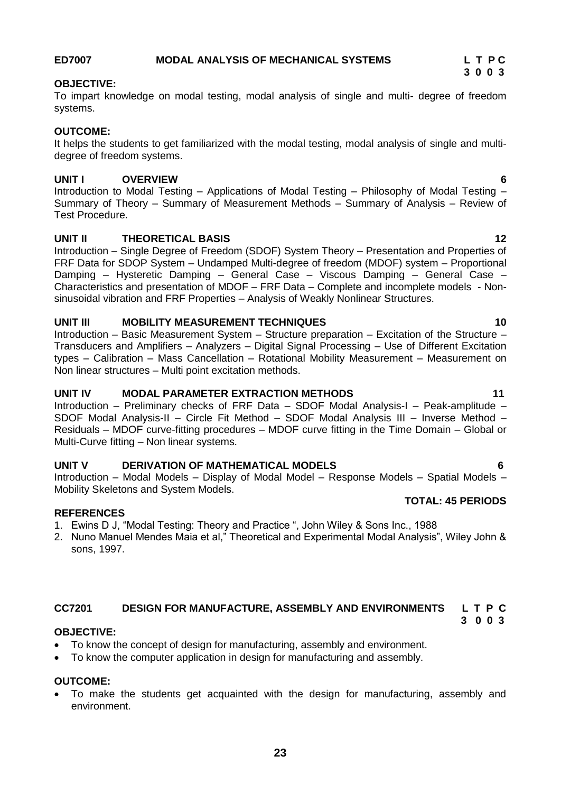#### <span id="page-22-1"></span>**CC7201 DESIGN FOR MANUFACTURE, ASSEMBLY AND ENVIRONMENTS L T P C 3 0 0 3**

#### **OBJECTIVE:**

- To know the concept of design for manufacturing, assembly and environment.
- To know the computer application in design for manufacturing and assembly.

#### **OUTCOME:**

 To make the students get acquainted with the design for manufacturing, assembly and environment.

#### **OUTCOME:**

systems.

<span id="page-22-0"></span>**OBJECTIVE:**

It helps the students to get familiarized with the modal testing, modal analysis of single and multidegree of freedom systems.

To impart knowledge on modal testing, modal analysis of single and multi- degree of freedom

#### **UNIT I OVERVIEW 6**

Introduction to Modal Testing – Applications of Modal Testing – Philosophy of Modal Testing – Summary of Theory – Summary of Measurement Methods – Summary of Analysis – Review of Test Procedure.

#### **UNIT II THEORETICAL BASIS 12**

Introduction – Single Degree of Freedom (SDOF) System Theory – Presentation and Properties of FRF Data for SDOP System – Undamped Multi-degree of freedom (MDOF) system – Proportional Damping – Hysteretic Damping – General Case – Viscous Damping – General Case – Characteristics and presentation of MDOF – FRF Data – Complete and incomplete models - Nonsinusoidal vibration and FRF Properties – Analysis of Weakly Nonlinear Structures.

#### **UNIT III MOBILITY MEASUREMENT TECHNIQUES 10**

Introduction – Basic Measurement System – Structure preparation – Excitation of the Structure – Transducers and Amplifiers – Analyzers – Digital Signal Processing – Use of Different Excitation types – Calibration – Mass Cancellation – Rotational Mobility Measurement – Measurement on Non linear structures – Multi point excitation methods.

#### **UNIT IV MODAL PARAMETER EXTRACTION METHODS 11**

Introduction – Preliminary checks of FRF Data – SDOF Modal Analysis-I – Peak-amplitude – SDOF Modal Analysis-II – Circle Fit Method – SDOF Modal Analysis III – Inverse Method – Residuals – MDOF curve-fitting procedures – MDOF curve fitting in the Time Domain – Global or Multi-Curve fitting – Non linear systems.

#### **UNIT V DERIVATION OF MATHEMATICAL MODELS 6**

Introduction – Modal Models – Display of Modal Model – Response Models – Spatial Models – Mobility Skeletons and System Models.

#### **REFERENCES**

- 1. Ewins D J, "Modal Testing: Theory and Practice ", John Wiley & Sons Inc., 1988
- 2. Nuno Manuel Mendes Maia et al," Theoretical and Experimental Modal Analysis", Wiley John & sons, 1997.

**TOTAL: 45 PERIODS**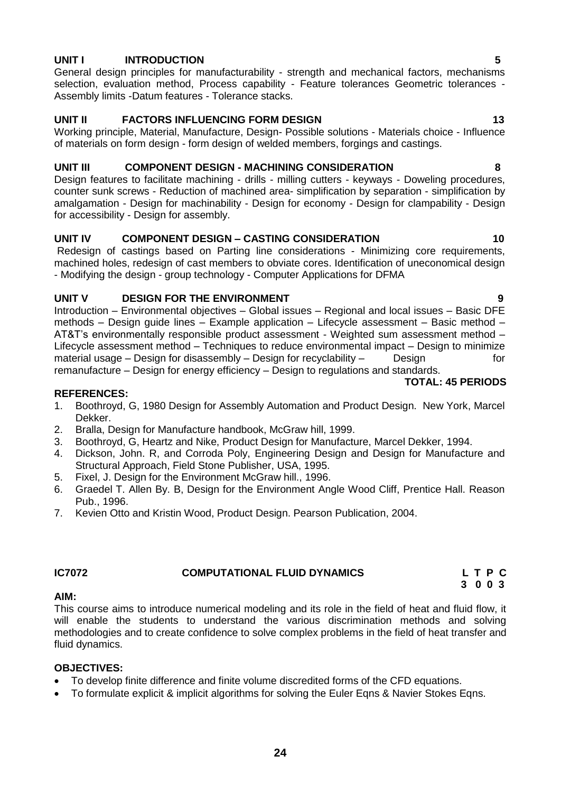#### **UNIT I INTRODUCTION 5**

General design principles for manufacturability - strength and mechanical factors, mechanisms selection, evaluation method, Process capability - Feature tolerances Geometric tolerances -Assembly limits -Datum features - Tolerance stacks.

### **UNIT II FACTORS INFLUENCING FORM DESIGN 13**

Working principle, Material, Manufacture, Design- Possible solutions - Materials choice - Influence of materials on form design - form design of welded members, forgings and castings.

#### **UNIT III COMPONENT DESIGN - MACHINING CONSIDERATION 8**

Design features to facilitate machining - drills - milling cutters - keyways - Doweling procedures, counter sunk screws - Reduction of machined area- simplification by separation - simplification by amalgamation - Design for machinability - Design for economy - Design for clampability - Design for accessibility - Design for assembly.

#### **UNIT IV COMPONENT DESIGN – CASTING CONSIDERATION 10**

Redesign of castings based on Parting line considerations - Minimizing core requirements, machined holes, redesign of cast members to obviate cores. Identification of uneconomical design - Modifying the design - group technology - Computer Applications for DFMA

#### **UNIT V DESIGN FOR THE ENVIRONMENT 9**

Introduction – Environmental objectives – Global issues – Regional and local issues – Basic DFE methods – Design guide lines – Example application – Lifecycle assessment – Basic method – AT&T"s environmentally responsible product assessment - Weighted sum assessment method – Lifecycle assessment method – Techniques to reduce environmental impact – Design to minimize material usage – Design for disassembly – Design for recyclability – Design for for remanufacture – Design for energy efficiency – Design to regulations and standards.

#### **REFERENCES:**

- 1. Boothroyd, G, 1980 Design for Assembly Automation and Product Design. New York, Marcel Dekker.
- 2. Bralla, Design for Manufacture handbook, McGraw hill, 1999.
- 3. Boothroyd, G, Heartz and Nike, Product Design for Manufacture, Marcel Dekker, 1994.
- 4. Dickson, John. R, and Corroda Poly, Engineering Design and Design for Manufacture and Structural Approach, Field Stone Publisher, USA, 1995.
- 5. Fixel, J. Design for the Environment McGraw hill., 1996.
- 6. Graedel T. Allen By. B, Design for the Environment Angle Wood Cliff, Prentice Hall. Reason Pub., 1996.
- 7. Kevien Otto and Kristin Wood, Product Design. Pearson Publication, 2004.

## **IC7072 COMPUTATIONAL FLUID DYNAMICS L T P C**

# **3 0 0 3**

#### **AIM:**

This course aims to introduce numerical modeling and its role in the field of heat and fluid flow, it will enable the students to understand the various discrimination methods and solving methodologies and to create confidence to solve complex problems in the field of heat transfer and fluid dynamics.

#### **OBJECTIVES:**

- To develop finite difference and finite volume discredited forms of the CFD equations.
- To formulate explicit & implicit algorithms for solving the Euler Eqns & Navier Stokes Eqns.

**TOTAL: 45 PERIODS**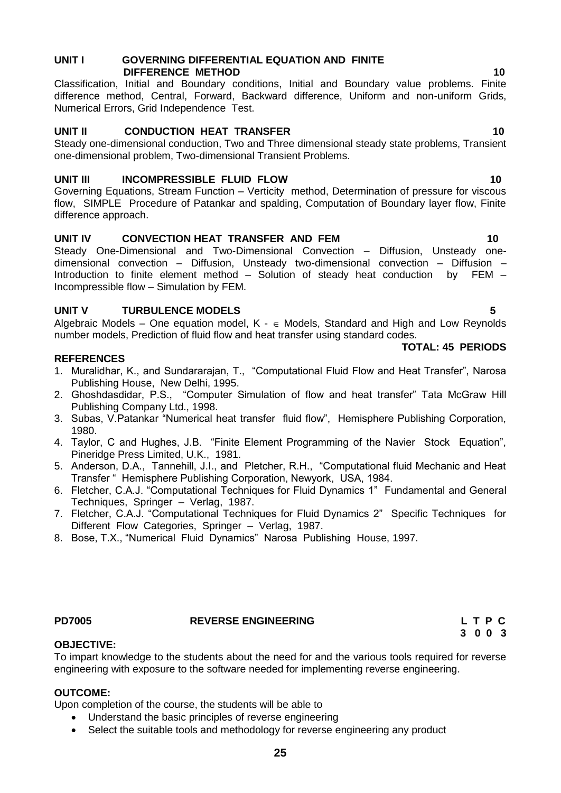#### **UNIT I GOVERNING DIFFERENTIAL EQUATION AND FINITE DIFFERENCE METHOD** 10 **10**

Classification, Initial and Boundary conditions, Initial and Boundary value problems. Finite difference method, Central, Forward, Backward difference, Uniform and non-uniform Grids, Numerical Errors, Grid Independence Test.

### **UNIT II CONDUCTION HEAT TRANSFER 10** 10

Steady one-dimensional conduction, Two and Three dimensional steady state problems, Transient one-dimensional problem, Two-dimensional Transient Problems.

### **UNIT III INCOMPRESSIBLE FLUID FLOW 10**

Governing Equations, Stream Function – Verticity method, Determination of pressure for viscous flow, SIMPLE Procedure of Patankar and spalding, Computation of Boundary layer flow, Finite difference approach.

### **UNIT IV CONVECTION HEAT TRANSFER AND FEM 10**

Steady One-Dimensional and Two-Dimensional Convection – Diffusion, Unsteady onedimensional convection – Diffusion, Unsteady two-dimensional convection – Diffusion – Introduction to finite element method – Solution of steady heat conduction by FEM – Incompressible flow – Simulation by FEM.

#### **UNIT V TURBULENCE MODELS 5**

Algebraic Models – One equation model,  $K - \epsilon$  Models, Standard and High and Low Reynolds number models, Prediction of fluid flow and heat transfer using standard codes.

#### **REFERENCES**

- 1. Muralidhar, K., and Sundararajan, T., "Computational Fluid Flow and Heat Transfer", Narosa Publishing House, New Delhi, 1995.
- 2. Ghoshdasdidar, P.S., "Computer Simulation of flow and heat transfer" Tata McGraw Hill Publishing Company Ltd., 1998.
- 3. Subas, V.Patankar "Numerical heat transfer fluid flow", Hemisphere Publishing Corporation, 1980.
- 4. Taylor, C and Hughes, J.B. "Finite Element Programming of the Navier Stock Equation", Pineridge Press Limited, U.K., 1981.
- 5. Anderson, D.A., Tannehill, J.I., and Pletcher, R.H., "Computational fluid Mechanic and Heat Transfer " Hemisphere Publishing Corporation, Newyork, USA, 1984.
- 6. Fletcher, C.A.J. "Computational Techniques for Fluid Dynamics 1" Fundamental and General Techniques, Springer – Verlag, 1987.
- 7. Fletcher, C.A.J. "Computational Techniques for Fluid Dynamics 2" Specific Techniques for Different Flow Categories, Springer – Verlag, 1987.
- 8. Bose, T.X., "Numerical Fluid Dynamics" Narosa Publishing House, 1997.

#### <span id="page-24-0"></span>**PD7005 REVERSE ENGINEERING L T P C**

To impart knowledge to the students about the need for and the various tools required for reverse engineering with exposure to the software needed for implementing reverse engineering.

#### **OUTCOME:**

**OBJECTIVE:**

Upon completion of the course, the students will be able to

- Understand the basic principles of reverse engineering
- Select the suitable tools and methodology for reverse engineering any product

#### **TOTAL: 45 PERIODS**

# **3 0 0 3**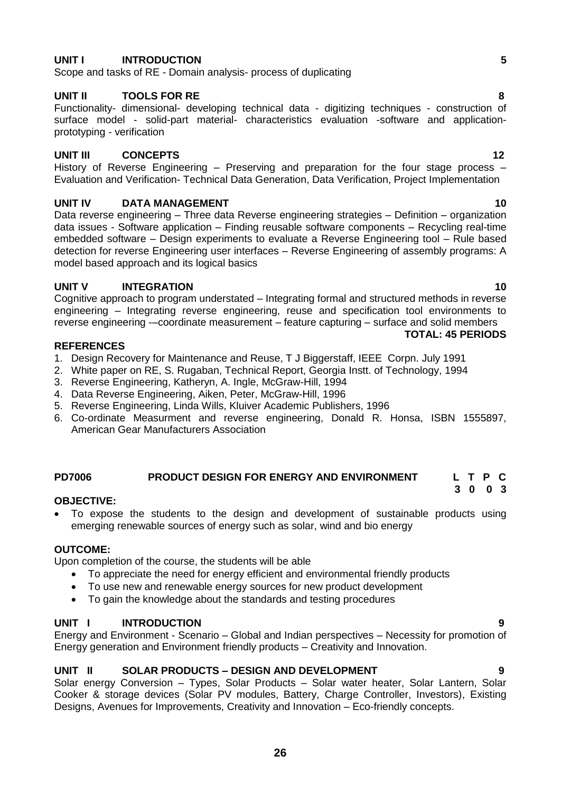#### **UNIT I INTRODUCTION 5**

Scope and tasks of RE - Domain analysis- process of duplicating

#### **UNIT II TOOLS FOR RE 8**

Functionality- dimensional- developing technical data - digitizing techniques - construction of surface model - solid-part material- characteristics evaluation -software and applicationprototyping - verification

#### **UNIT III CONCEPTS 12**

History of Reverse Engineering – Preserving and preparation for the four stage process – Evaluation and Verification- Technical Data Generation, Data Verification, Project Implementation

#### **UNIT IV DATA MANAGEMENT 10**

Data reverse engineering – Three data Reverse engineering strategies – Definition – organization data issues - Software application – Finding reusable software components – Recycling real-time embedded software – Design experiments to evaluate a Reverse Engineering tool – Rule based detection for reverse Engineering user interfaces – Reverse Engineering of assembly programs: A model based approach and its logical basics

#### **UNIT V INTEGRATION 10**

Cognitive approach to program understated – Integrating formal and structured methods in reverse engineering – Integrating reverse engineering, reuse and specification tool environments to reverse engineering -–coordinate measurement – feature capturing – surface and solid members

#### **REFERENCES**

- 1. Design Recovery for Maintenance and Reuse, T J Biggerstaff, IEEE Corpn. July 1991
- 2. White paper on RE, S. Rugaban, Technical Report, Georgia Instt. of Technology, 1994
- 3. Reverse Engineering, Katheryn, A. Ingle, McGraw-Hill, 1994
- 4. Data Reverse Engineering, Aiken, Peter, McGraw-Hill, 1996
- 5. Reverse Engineering, Linda Wills, Kluiver Academic Publishers, 1996
- 6. Co-ordinate Measurment and reverse engineering, Donald R. Honsa, ISBN 1555897, American Gear Manufacturers Association

#### <span id="page-25-0"></span>**PD7006 PRODUCT DESIGN FOR ENERGY AND ENVIRONMENT L T P C 3 0 0 3**

#### **OBJECTIVE:**

 To expose the students to the design and development of sustainable products using emerging renewable sources of energy such as solar, wind and bio energy

#### **OUTCOME:**

Upon completion of the course, the students will be able

- To appreciate the need for energy efficient and environmental friendly products
- To use new and renewable energy sources for new product development
- To gain the knowledge about the standards and testing procedures

#### **UNIT I INTRODUCTION 9**

Energy and Environment - Scenario – Global and Indian perspectives – Necessity for promotion of Energy generation and Environment friendly products – Creativity and Innovation.

#### **UNIT II SOLAR PRODUCTS – DESIGN AND DEVELOPMENT 9**

Solar energy Conversion – Types, Solar Products – Solar water heater, Solar Lantern, Solar Cooker & storage devices (Solar PV modules, Battery, Charge Controller, Investors), Existing Designs, Avenues for Improvements, Creativity and Innovation – Eco-friendly concepts.

# **TOTAL: 45 PERIODS**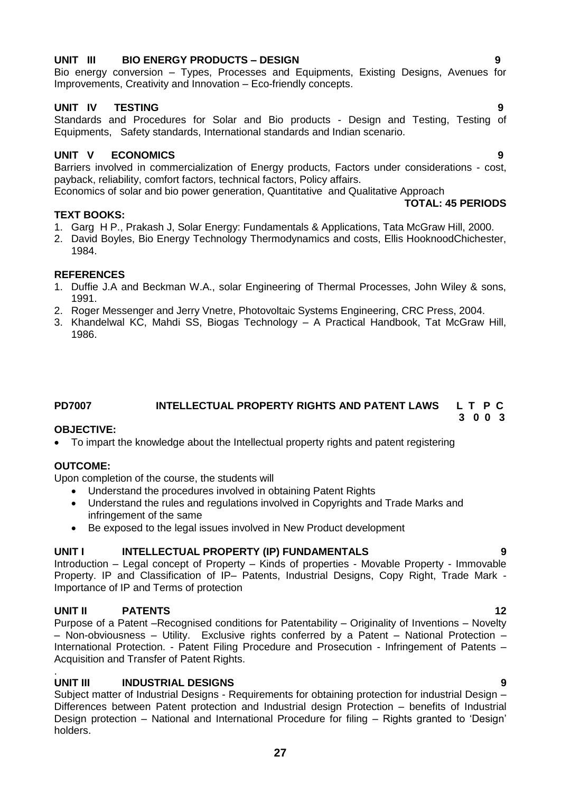## **UNIT III BIO ENERGY PRODUCTS – DESIGN 9**

Bio energy conversion – Types, Processes and Equipments, Existing Designs, Avenues for Improvements, Creativity and Innovation – Eco-friendly concepts.

#### **UNIT IV TESTING 9**

Standards and Procedures for Solar and Bio products - Design and Testing, Testing of Equipments, Safety standards, International standards and Indian scenario.

#### **UNIT V ECONOMICS 9**

Barriers involved in commercialization of Energy products, Factors under considerations - cost, payback, reliability, comfort factors, technical factors, Policy affairs.

Economics of solar and bio power generation, Quantitative and Qualitative Approach **TOTAL: 45 PERIODS**

#### **TEXT BOOKS:**

- 1. Garg H P., Prakash J, Solar Energy: Fundamentals & Applications, Tata McGraw Hill, 2000.
- 2. David Boyles, Bio Energy Technology Thermodynamics and costs, Ellis HooknoodChichester, 1984.

#### **REFERENCES**

- 1. Duffie J.A and Beckman W.A., solar Engineering of Thermal Processes, John Wiley & sons, 1991.
- 2. Roger Messenger and Jerry Vnetre, Photovoltaic Systems Engineering, CRC Press, 2004.
- 3. Khandelwal KC, Mahdi SS, Biogas Technology A Practical Handbook, Tat McGraw Hill, 1986.

#### <span id="page-26-0"></span>**PD7007 INTELLECTUAL PROPERTY RIGHTS AND PATENT LAWS L T P C 3 0 0 3**

#### **OBJECTIVE:**

To impart the knowledge about the Intellectual property rights and patent registering

#### **OUTCOME:**

Upon completion of the course, the students will

- Understand the procedures involved in obtaining Patent Rights
- Understand the rules and regulations involved in Copyrights and Trade Marks and infringement of the same
- Be exposed to the legal issues involved in New Product development

#### **UNIT I INTELLECTUAL PROPERTY (IP) FUNDAMENTALS 9**

Introduction – Legal concept of Property – Kinds of properties - Movable Property - Immovable Property. IP and Classification of IP– Patents, Industrial Designs, Copy Right, Trade Mark - Importance of IP and Terms of protection

#### **UNIT II PATENTS 12**

Purpose of a Patent –Recognised conditions for Patentability – Originality of Inventions – Novelty – Non-obviousness – Utility. Exclusive rights conferred by a Patent – National Protection – International Protection. - Patent Filing Procedure and Prosecution - Infringement of Patents – Acquisition and Transfer of Patent Rights.

#### . **UNIT III INDUSTRIAL DESIGNS 9**

Subject matter of Industrial Designs - Requirements for obtaining protection for industrial Design – Differences between Patent protection and Industrial design Protection – benefits of Industrial Design protection – National and International Procedure for filing – Rights granted to "Design" holders.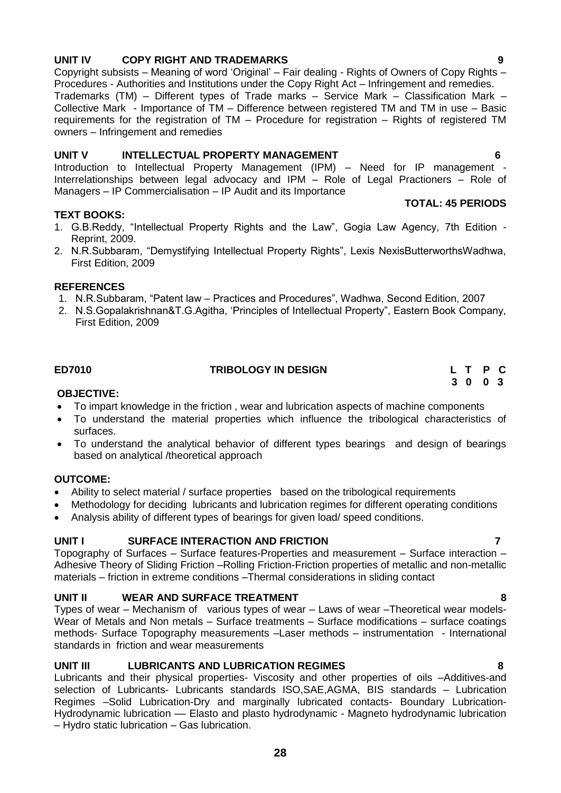# **UNIT IV COPY RIGHT AND TRADEMARKS 9**

Copyright subsists – Meaning of word "Original" – Fair dealing - Rights of Owners of Copy Rights – Procedures - Authorities and Institutions under the Copy Right Act – Infringement and remedies.

Trademarks (TM) – Different types of Trade marks – Service Mark – Classification Mark – Collective Mark - Importance of TM – Difference between registered TM and TM in use – Basic requirements for the registration of TM – Procedure for registration – Rights of registered TM owners – Infringement and remedies

### **UNIT V INTELLECTUAL PROPERTY MANAGEMENT 6**

Introduction to Intellectual Property Management (IPM) – Need for IP management - Interrelationships between legal advocacy and IPM – Role of Legal Practioners – Role of Managers – IP Commercialisation – IP Audit and its Importance

#### **TEXT BOOKS:**

- 1. G.B.Reddy, "Intellectual Property Rights and the Law", Gogia Law Agency, 7th Edition Reprint, 2009.
- 2. N.R.Subbaram, "Demystifying Intellectual Property Rights", Lexis NexisButterworthsWadhwa, First Edition, 2009

#### **REFERENCES**

- 1. N.R.Subbaram, "Patent law Practices and Procedures", Wadhwa, Second Edition, 2007
- 2. N.S.Gopalakrishnan&T.G.Agitha, "Principles of Intellectual Property", Eastern Book Company, First Edition, 2009

#### **OBJECTIVE:**

- To impart knowledge in the friction , wear and lubrication aspects of machine components
- To understand the material properties which influence the tribological characteristics of surfaces.
- To understand the analytical behavior of different types bearings and design of bearings based on analytical /theoretical approach

#### **OUTCOME:**

- Ability to select material / surface properties based on the tribological requirements
- Methodology for deciding lubricants and lubrication regimes for different operating conditions
- Analysis ability of different types of bearings for given load/ speed conditions.

#### UNIT I SURFACE INTERACTION AND FRICTION **FRIGO**

Topography of Surfaces – Surface features-Properties and measurement – Surface interaction – Adhesive Theory of Sliding Friction –Rolling Friction-Friction properties of metallic and non-metallic materials – friction in extreme conditions –Thermal considerations in sliding contact

#### **UNIT II WEAR AND SURFACE TREATMENT 8**

Types of wear – Mechanism of various types of wear – Laws of wear –Theoretical wear models-Wear of Metals and Non metals – Surface treatments – Surface modifications – surface coatings methods- Surface Topography measurements –Laser methods – instrumentation - International standards in friction and wear measurements

### **UNIT III LUBRICANTS AND LUBRICATION REGIMES 8**

Lubricants and their physical properties- Viscosity and other properties of oils –Additives-and selection of Lubricants- Lubricants standards ISO,SAE,AGMA, BIS standards – Lubrication Regimes –Solid Lubrication-Dry and marginally lubricated contacts- Boundary Lubrication-Hydrodynamic lubrication - Elasto and plasto hydrodynamic - Magneto hydrodynamic lubrication – Hydro static lubrication – Gas lubrication.

**TOTAL: 45 PERIODS**

<span id="page-27-0"></span>**ED7010 TRIBOLOGY IN DESIGN L T P C 3 0 0 3**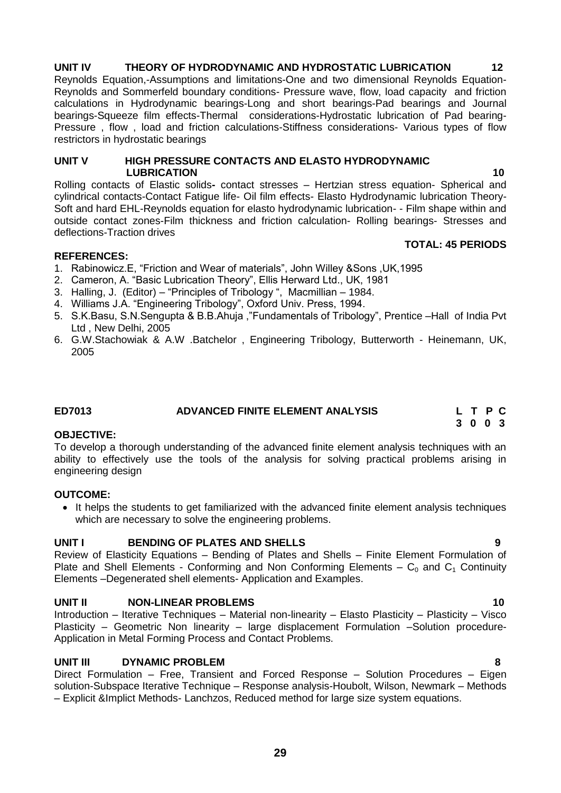# **UNIT IV THEORY OF HYDRODYNAMIC AND HYDROSTATIC LUBRICATION 12**

Reynolds Equation,-Assumptions and limitations-One and two dimensional Reynolds Equation-Reynolds and Sommerfeld boundary conditions- Pressure wave, flow, load capacity and friction calculations in Hydrodynamic bearings-Long and short bearings-Pad bearings and Journal bearings-Squeeze film effects-Thermal considerations-Hydrostatic lubrication of Pad bearing-Pressure , flow , load and friction calculations-Stiffness considerations- Various types of flow restrictors in hydrostatic bearings

#### **UNIT V HIGH PRESSURE CONTACTS AND ELASTO HYDRODYNAMIC**  *LUBRICATION* 10

Rolling contacts of Elastic solids**-** contact stresses – Hertzian stress equation- Spherical and cylindrical contacts-Contact Fatigue life- Oil film effects- Elasto Hydrodynamic lubrication Theory-Soft and hard EHL-Reynolds equation for elasto hydrodynamic lubrication- - Film shape within and outside contact zones-Film thickness and friction calculation- Rolling bearings- Stresses and deflections-Traction drives

#### **REFERENCES:**

- 1. Rabinowicz.E, "Friction and Wear of materials", John Willey &Sons ,UK,1995
- 2. Cameron, A. "Basic Lubrication Theory", Ellis Herward Ltd., UK, 1981
- 3. Halling, J. (Editor) "Principles of Tribology ", Macmillian 1984.
- 4. Williams J.A. "Engineering Tribology", Oxford Univ. Press, 1994.
- 5. S.K.Basu, S.N.Sengupta & B.B.Ahuja ,"Fundamentals of Tribology", Prentice –Hall of India Pvt Ltd , New Delhi, 2005
- 6. G.W.Stachowiak & A.W .Batchelor , Engineering Tribology, Butterworth Heinemann, UK, 2005

### **ED7013** ADVANCED FINITE ELEMENT ANALYSIS

#### **OBJECTIVE:**

To develop a thorough understanding of the advanced finite element analysis techniques with an ability to effectively use the tools of the analysis for solving practical problems arising in engineering design

#### **OUTCOME:**

 It helps the students to get familiarized with the advanced finite element analysis techniques which are necessary to solve the engineering problems.

### **UNIT I BENDING OF PLATES AND SHELLS 9**

Review of Elasticity Equations – Bending of Plates and Shells – Finite Element Formulation of Plate and Shell Elements - Conforming and Non Conforming Elements –  $C_0$  and  $C_1$  Continuity Elements –Degenerated shell elements- Application and Examples.

### **UNIT II** NON-LINEAR PROBLEMS 10

Introduction – Iterative Techniques – Material non-linearity – Elasto Plasticity – Plasticity – Visco Plasticity – Geometric Non linearity – large displacement Formulation –Solution procedure-Application in Metal Forming Process and Contact Problems.

#### **UNIT III DYNAMIC PROBLEM 8**

Direct Formulation – Free, Transient and Forced Response – Solution Procedures – Eigen solution-Subspace Iterative Technique – Response analysis-Houbolt, Wilson, Newmark – Methods – Explicit &Implict Methods- Lanchzos, Reduced method for large size system equations.

**TOTAL: 45 PERIODS**

<span id="page-28-0"></span> **3 0 0 3**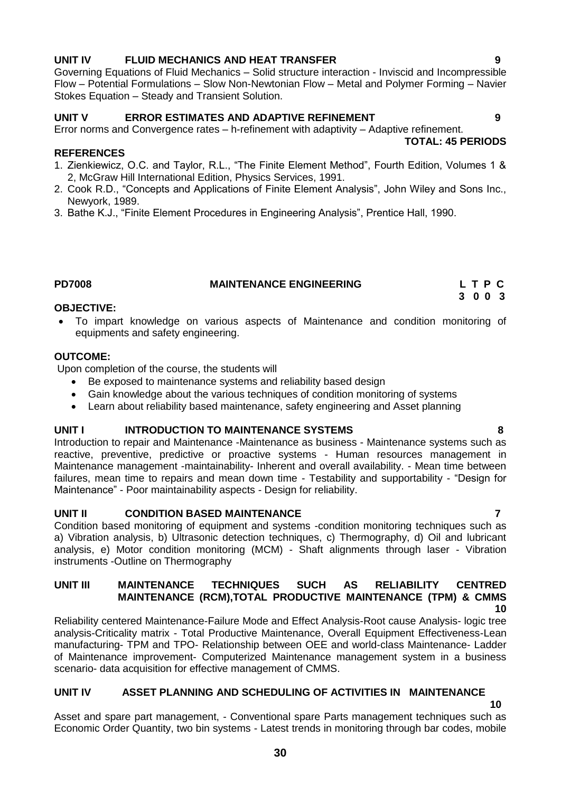# **UNIT IV FLUID MECHANICS AND HEAT TRANSFER 9**

Governing Equations of Fluid Mechanics – Solid structure interaction - Inviscid and Incompressible Flow – Potential Formulations – Slow Non-Newtonian Flow – Metal and Polymer Forming – Navier Stokes Equation – Steady and Transient Solution.

### **UNIT V ERROR ESTIMATES AND ADAPTIVE REFINEMENT 9**

Error norms and Convergence rates – h-refinement with adaptivity – Adaptive refinement.  **TOTAL: 45 PERIODS**

### **REFERENCES**

- 1. Zienkiewicz, O.C. and Taylor, R.L., "The Finite Element Method", Fourth Edition, Volumes 1 & 2, McGraw Hill International Edition, Physics Services, 1991.
- 2. Cook R.D., "Concepts and Applications of Finite Element Analysis", John Wiley and Sons Inc., Newyork, 1989.
- 3. Bathe K.J., "Finite Element Procedures in Engineering Analysis", Prentice Hall, 1990.

# <span id="page-29-0"></span>**PD7008 MAINTENANCE ENGINEERING L T P C**

#### **OBJECTIVE:**

 To impart knowledge on various aspects of Maintenance and condition monitoring of equipments and safety engineering.

### **OUTCOME:**

Upon completion of the course, the students will

- Be exposed to maintenance systems and reliability based design
- Gain knowledge about the various techniques of condition monitoring of systems
- Learn about reliability based maintenance, safety engineering and Asset planning

### **UNIT I INTRODUCTION TO MAINTENANCE SYSTEMS 8**

Introduction to repair and Maintenance -Maintenance as business - Maintenance systems such as reactive, preventive, predictive or proactive systems - Human resources management in Maintenance management -maintainability- Inherent and overall availability. - Mean time between failures, mean time to repairs and mean down time - Testability and supportability - "Design for Maintenance" - Poor maintainability aspects - Design for reliability.

### **UNIT II CONDITION BASED MAINTENANCE 7**

Condition based monitoring of equipment and systems -condition monitoring techniques such as a) Vibration analysis, b) Ultrasonic detection techniques, c) Thermography, d) Oil and lubricant analysis, e) Motor condition monitoring (MCM) - Shaft alignments through laser - Vibration instruments -Outline on Thermography

#### **UNIT III MAINTENANCE TECHNIQUES SUCH AS RELIABILITY CENTRED MAINTENANCE (RCM),TOTAL PRODUCTIVE MAINTENANCE (TPM) & CMMS 10**

Reliability centered Maintenance-Failure Mode and Effect Analysis-Root cause Analysis- logic tree analysis-Criticality matrix - Total Productive Maintenance, Overall Equipment Effectiveness-Lean manufacturing- TPM and TPO- Relationship between OEE and world-class Maintenance- Ladder of Maintenance improvement- Computerized Maintenance management system in a business scenario- data acquisition for effective management of CMMS.

## **UNIT IV ASSET PLANNING AND SCHEDULING OF ACTIVITIES IN MAINTENANCE**

 **10**

Asset and spare part management, - Conventional spare Parts management techniques such as Economic Order Quantity, two bin systems - Latest trends in monitoring through bar codes, mobile

 **3 0 0 3**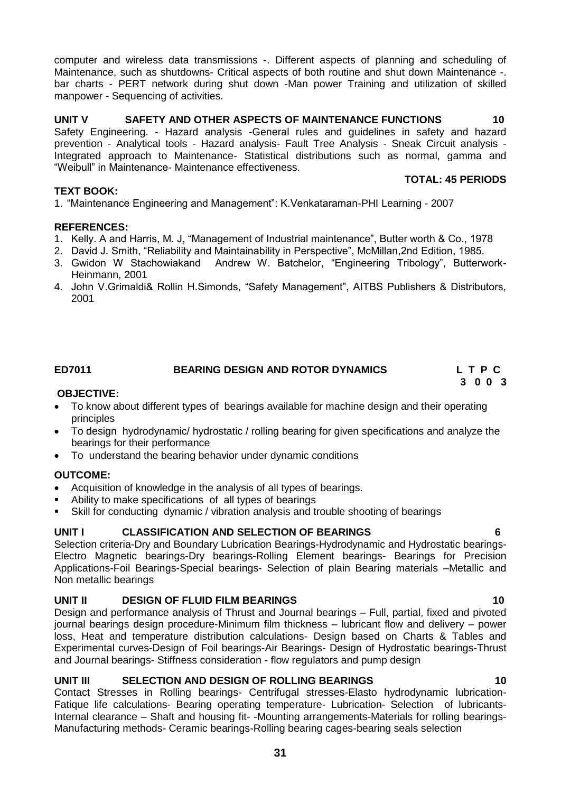computer and wireless data transmissions -. Different aspects of planning and scheduling of Maintenance, such as shutdowns- Critical aspects of both routine and shut down Maintenance -. bar charts - PERT network during shut down -Man power Training and utilization of skilled manpower - Sequencing of activities.

# **UNIT V SAFETY AND OTHER ASPECTS OF MAINTENANCE FUNCTIONS 10**

Safety Engineering. - Hazard analysis -General rules and guidelines in safety and hazard prevention - Analytical tools - Hazard analysis- Fault Tree Analysis - Sneak Circuit analysis - Integrated approach to Maintenance- Statistical distributions such as normal, gamma and "Weibull" in Maintenance- Maintenance effectiveness.

#### **TEXT BOOK:**

1. "Maintenance Engineering and Management": K.Venkataraman-PHI Learning - 2007

#### **REFERENCES:**

- 1. Kelly. A and Harris, M. J, "Management of Industrial maintenance", Butter worth & Co., 1978
- 2. David J. Smith, "Reliability and Maintainability in Perspective", McMillan,2nd Edition, 1985.
- 3. Gwidon W Stachowiakand Andrew W. Batchelor, "Engineering Tribology", Butterwork-Heinmann, 2001
- 4. John V.Grimaldi& Rollin H.Simonds, "Safety Management", AITBS Publishers & Distributors, 2001

# <span id="page-30-0"></span>**ED7011 BEARING DESIGN AND ROTOR DYNAMICS L T P C**

#### **OBJECTIVE:**

- To know about different types of bearings available for machine design and their operating principles
- To design hydrodynamic/ hydrostatic / rolling bearing for given specifications and analyze the bearings for their performance
- To understand the bearing behavior under dynamic conditions

#### **OUTCOME:**

- Acquisition of knowledge in the analysis of all types of bearings.
- Ability to make specifications of all types of bearings
- Skill for conducting dynamic / vibration analysis and trouble shooting of bearings

### **UNIT I CLASSIFICATION AND SELECTION OF BEARINGS 6**

Selection criteria-Dry and Boundary Lubrication Bearings-Hydrodynamic and Hydrostatic bearings-Electro Magnetic bearings-Dry bearings-Rolling Element bearings- Bearings for Precision Applications-Foil Bearings-Special bearings- Selection of plain Bearing materials –Metallic and Non metallic bearings

### **UNIT II DESIGN OF FLUID FILM BEARINGS 10**

Design and performance analysis of Thrust and Journal bearings – Full, partial, fixed and pivoted journal bearings design procedure-Minimum film thickness – lubricant flow and delivery – power loss, Heat and temperature distribution calculations- Design based on Charts & Tables and Experimental curves-Design of Foil bearings-Air Bearings- Design of Hydrostatic bearings-Thrust and Journal bearings- Stiffness consideration - flow regulators and pump design

#### **UNIT III SELECTION AND DESIGN OF ROLLING BEARINGS 10**

Contact Stresses in Rolling bearings- Centrifugal stresses-Elasto hydrodynamic lubrication-Fatique life calculations- Bearing operating temperature- Lubrication- Selection of lubricants-Internal clearance – Shaft and housing fit- -Mounting arrangements-Materials for rolling bearings-Manufacturing methods- Ceramic bearings-Rolling bearing cages-bearing seals selection

**3 0 0 3**

**TOTAL: 45 PERIODS**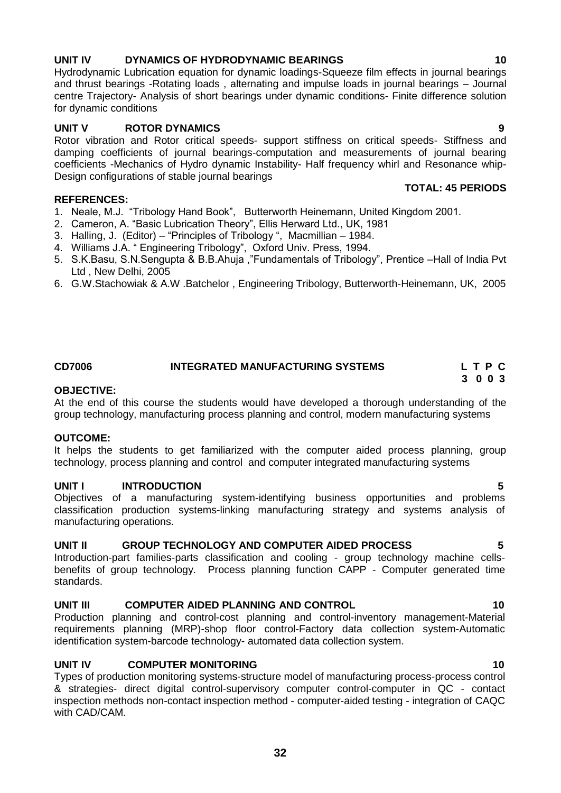# **UNIT IV DYNAMICS OF HYDRODYNAMIC BEARINGS 10**

Hydrodynamic Lubrication equation for dynamic loadings-Squeeze film effects in journal bearings and thrust bearings -Rotating loads , alternating and impulse loads in journal bearings – Journal centre Trajectory- Analysis of short bearings under dynamic conditions- Finite difference solution for dynamic conditions

### **UNIT V ROTOR DYNAMICS 9**

Rotor vibration and Rotor critical speeds- support stiffness on critical speeds- Stiffness and damping coefficients of journal bearings-computation and measurements of journal bearing coefficients -Mechanics of Hydro dynamic Instability- Half frequency whirl and Resonance whip-Design configurations of stable journal bearings  **TOTAL: 45 PERIODS**

#### **REFERENCES:**

- 1. Neale, M.J. "Tribology Hand Book", Butterworth Heinemann, United Kingdom 2001.
- 2. Cameron, A. "Basic Lubrication Theory", Ellis Herward Ltd., UK, 1981
- 3. Halling, J. (Editor) "Principles of Tribology ", Macmillian 1984.
- 4. Williams J.A. " Engineering Tribology", Oxford Univ. Press, 1994.
- 5. S.K.Basu, S.N.Sengupta & B.B.Ahuja ,"Fundamentals of Tribology", Prentice –Hall of India Pvt Ltd , New Delhi, 2005
- 6. G.W.Stachowiak & A.W .Batchelor , Engineering Tribology, Butterworth-Heinemann, UK, 2005

#### <span id="page-31-0"></span>**CD7006 INTEGRATED MANUFACTURING SYSTEMS L T P C 3 0 0 3**

# **OBJECTIVE:**

At the end of this course the students would have developed a thorough understanding of the group technology, manufacturing process planning and control, modern manufacturing systems

#### **OUTCOME:**

It helps the students to get familiarized with the computer aided process planning, group technology, process planning and control and computer integrated manufacturing systems

#### **UNIT I INTRODUCTION 5**

Objectives of a manufacturing system-identifying business opportunities and problems classification production systems-linking manufacturing strategy and systems analysis of manufacturing operations.

#### **UNIT II GROUP TECHNOLOGY AND COMPUTER AIDED PROCESS 5**

Introduction-part families-parts classification and cooling - group technology machine cellsbenefits of group technology. Process planning function CAPP - Computer generated time standards.

### **UNIT III COMPUTER AIDED PLANNING AND CONTROL 10**

Production planning and control-cost planning and control-inventory management-Material requirements planning (MRP)-shop floor control-Factory data collection system-Automatic identification system-barcode technology- automated data collection system.

## **UNIT IV COMPUTER MONITORING 10** 10

Types of production monitoring systems-structure model of manufacturing process-process control & strategies- direct digital control-supervisory computer control-computer in QC - contact inspection methods non-contact inspection method - computer-aided testing - integration of CAQC with CAD/CAM.